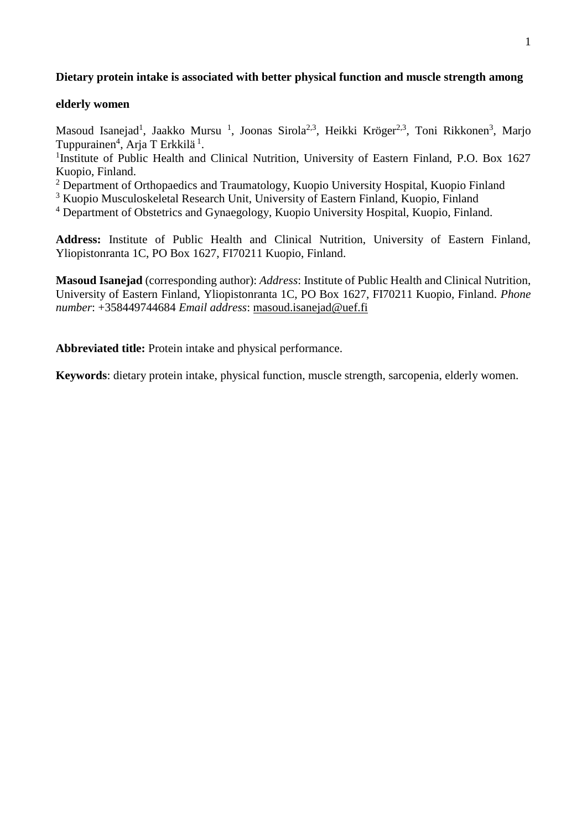# **Dietary protein intake is associated with better physical function and muscle strength among**

### **elderly women**

Masoud Isanejad<sup>1</sup>, Jaakko Mursu<sup>1</sup>, Joonas Sirola<sup>2,3</sup>, Heikki Kröger<sup>2,3</sup>, Toni Rikkonen<sup>3</sup>, Marjo Tuppurainen<sup>4</sup>, Arja T Erkkilä<sup>1</sup>.

<sup>1</sup>Institute of Public Health and Clinical Nutrition, University of Eastern Finland, P.O. Box 1627 Kuopio, Finland.

<sup>2</sup> Department of Orthopaedics and Traumatology, Kuopio University Hospital, Kuopio Finland

<sup>3</sup> Kuopio Musculoskeletal Research Unit, University of Eastern Finland, Kuopio, Finland

<sup>4</sup> Department of Obstetrics and Gynaegology, Kuopio University Hospital, Kuopio, Finland.

**Address:** Institute of Public Health and Clinical Nutrition, University of Eastern Finland, Yliopistonranta 1C, PO Box 1627, FI70211 Kuopio, Finland.

**Masoud Isanejad** (corresponding author): *Address*: Institute of Public Health and Clinical Nutrition, University of Eastern Finland, Yliopistonranta 1C, PO Box 1627, FI70211 Kuopio, Finland. *Phone number*: +358449744684 *Email address*: [masoud.isanejad@uef.fi](mailto:masoud.isanejad@uef.fi)

**Abbreviated title:** Protein intake and physical performance.

**Keywords**: dietary protein intake, physical function, muscle strength, sarcopenia, elderly women.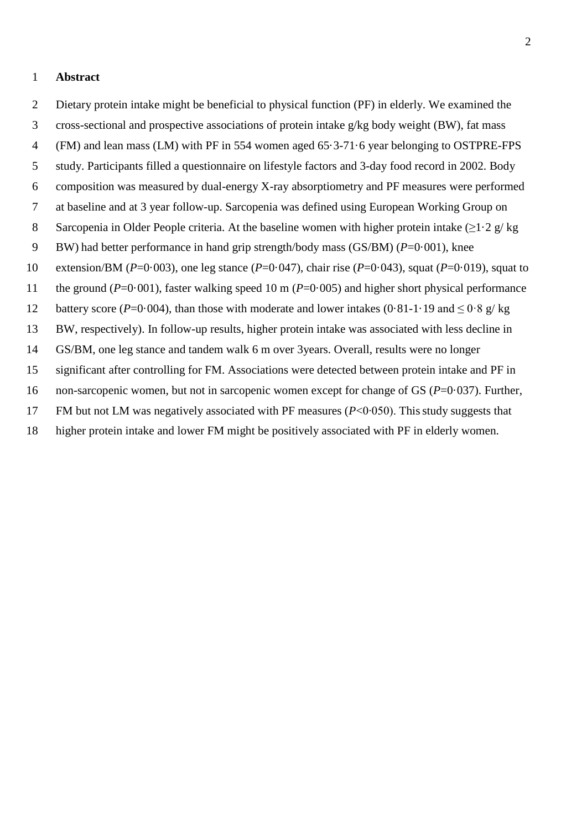### **Abstract**

 Dietary protein intake might be beneficial to physical function (PF) in elderly. We examined the cross-sectional and prospective associations of protein intake g/kg body weight (BW), fat mass (FM) and lean mass (LM) with PF in 554 women aged 65·3-71·6 year belonging to OSTPRE-FPS study. Participants filled a questionnaire on lifestyle factors and 3-day food record in 2002. Body composition was measured by dual-energy X-ray absorptiometry and PF measures were performed at baseline and at 3 year follow-up. Sarcopenia was defined using European Working Group on 8 Sarcopenia in Older People criteria. At the baseline women with higher protein intake  $(\geq 1.2 \text{ g/kg})$  BW) had better performance in hand grip strength/body mass (GS/BM) (*P*=0·001), knee extension/BM (*P*=0·003), one leg stance (*P*=0·047), chair rise (*P*=0·043), squat (*P*=0·019), squat to the ground (*P*=0·001), faster walking speed 10 m (*P*=0·005) and higher short physical performance 12 battery score ( $P=0.004$ ), than those with moderate and lower intakes ( $0.81$ -1 $\cdot$ 19 and  $\leq 0.8$  g/kg BW, respectively). In follow-up results, higher protein intake was associated with less decline in GS/BM, one leg stance and tandem walk 6 m over 3years. Overall, results were no longer significant after controlling for FM. Associations were detected between protein intake and PF in 16 non-sarcopenic women, but not in sarcopenic women except for change of GS ( $P=0.037$ ). Further, FM but not LM was negatively associated with PF measures (*P*<0∙050). Thisstudy suggests that higher protein intake and lower FM might be positively associated with PF in elderly women.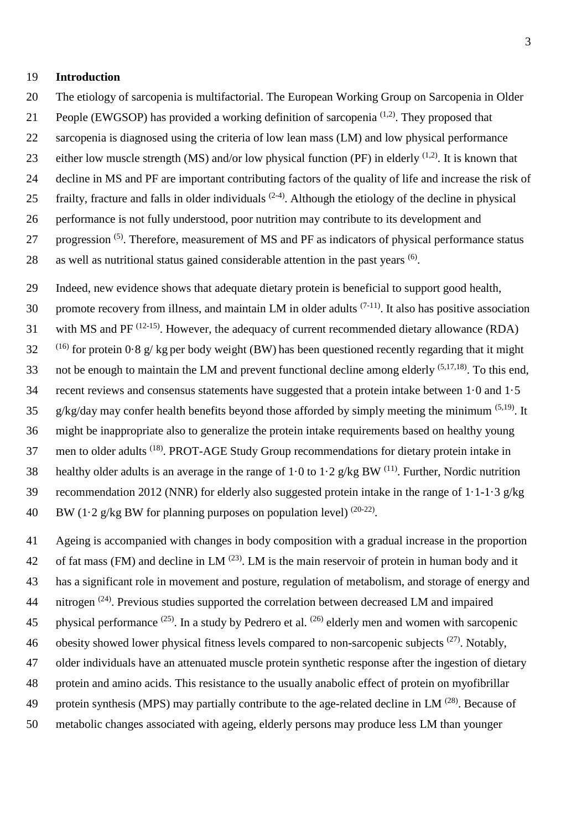### 19 **Introduction**

- 20 The etiology of sarcopenia is multifactorial. The European Working Group on Sarcopenia in Older
- 21 People (EWGSOP) has provided a working definition of sarcopenia  $(1,2)$ . They proposed that
- 22 sarcopenia is diagnosed using the criteria of low lean mass (LM) and low physical performance
- 23 either low muscle strength (MS) and/or low physical function (PF) in elderly  $(1,2)$ . It is known that
- 24 decline in MS and PF are important contributing factors of the quality of life and increase the risk of
- 25 frailty, fracture and falls in older individuals  $(2-4)$ . Although the etiology of the decline in physical
- 26 performance is not fully understood, poor nutrition may contribute to its development and
- 27 progression <sup>(5)</sup>. Therefore, measurement of MS and PF as indicators of physical performance status
- 28 as well as nutritional status gained considerable attention in the past years  $(6)$ .
- 29 Indeed, new evidence shows that adequate dietary protein is beneficial to support good health,
- 30 promote recovery from illness, and maintain LM in older adults  $(7-11)$ . It also has positive association
- 31 with MS and PF  $(12-15)$ . However, the adequacy of current recommended dietary allowance (RDA)
- $(16)$  for protein 0·8 g/ kg per body weight (BW) has been questioned recently regarding that it might
- 33 not be enough to maintain the LM and prevent functional decline among elderly  $(5,17,18)$ . To this end,
- 34 recent reviews and consensus statements have suggested that a protein intake between 1·0 and 1·5
- $g/kg/day$  may confer health benefits beyond those afforded by simply meeting the minimum  $(5,19)$ . It
- 36 might be inappropriate also to generalize the protein intake requirements based on healthy young
- 37 men to older adults <sup>(18)</sup>. PROT-AGE Study Group recommendations for dietary protein intake in
- 38 healthy older adults is an average in the range of 1.0 to 1.2  $g/kg BW$  (11). Further, Nordic nutrition
- 39 recommendation 2012 (NNR) for elderly also suggested protein intake in the range of 1.1-1.3 g/kg
- 40 BW (1.2 g/kg BW for planning purposes on population level)  $(20-22)$ .

41 Ageing is accompanied with changes in body composition with a gradual increase in the proportion 42 of fat mass (FM) and decline in LM  $^{(23)}$ . LM is the main reservoir of protein in human body and it 43 has a significant role in movement and posture, regulation of metabolism, and storage of energy and 44 nitrogen  $(24)$ . Previous studies supported the correlation between decreased LM and impaired 45 physical performance  $(25)$ . In a study by Pedrero et al.  $(26)$  elderly men and women with sarcopenic 46 obesity showed lower physical fitness levels compared to non-sarcopenic subjects  $(27)$ . Notably, 47 older individuals have an attenuated muscle protein synthetic response after the ingestion of dietary 48 protein and amino acids. This resistance to the usually anabolic effect of protein on myofibrillar 49 protein synthesis (MPS) may partially contribute to the age-related decline in LM  $^{(28)}$ . Because of 50 metabolic changes associated with ageing, elderly persons may produce less LM than younger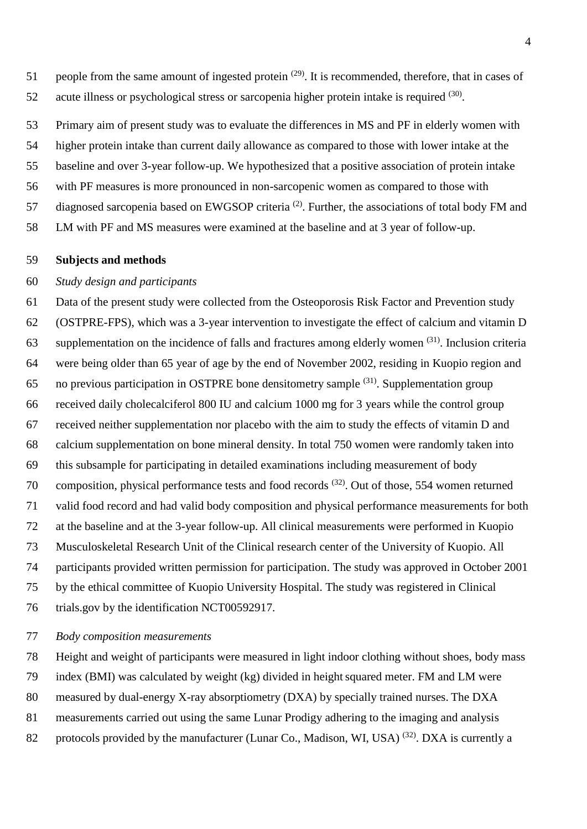51 people from the same amount of ingested protein  $(29)$ . It is recommended, therefore, that in cases of 52 acute illness or psychological stress or sarcopenia higher protein intake is required  $(30)$ .

Primary aim of present study was to evaluate the differences in MS and PF in elderly women with

higher protein intake than current daily allowance as compared to those with lower intake at the

baseline and over 3-year follow-up. We hypothesized that a positive association of protein intake

with PF measures is more pronounced in non-sarcopenic women as compared to those with

57 diagnosed sarcopenia based on EWGSOP criteria<sup>(2)</sup>. Further, the associations of total body FM and

LM with PF and MS measures were examined at the baseline and at 3 year of follow-up.

### **Subjects and methods**

## *Study design and participants*

 Data of the present study were collected from the Osteoporosis Risk Factor and Prevention study (OSTPRE-FPS), which was a 3-year intervention to investigate the effect of calcium and vitamin D 63 supplementation on the incidence of falls and fractures among elderly women  $(31)$ . Inclusion criteria were being older than 65 year of age by the end of November 2002, residing in Kuopio region and 65 no previous participation in OSTPRE bone densitometry sample  $(31)$ . Supplementation group received daily cholecalciferol 800 IU and calcium 1000 mg for 3 years while the control group received neither supplementation nor placebo with the aim to study the effects of vitamin D and calcium supplementation on bone mineral density. In total 750 women were randomly taken into this subsample for participating in detailed examinations including measurement of body 70 composition, physical performance tests and food records <sup>(32)</sup>. Out of those, 554 women returned valid food record and had valid body composition and physical performance measurements for both at the baseline and at the 3-year follow-up. All clinical measurements were performed in Kuopio Musculoskeletal Research Unit of the Clinical research center of the University of Kuopio. All participants provided written permission for participation. The study was approved in October 2001 by the ethical committee of Kuopio University Hospital. The study was registered in Clinical

trials.gov by the identification NCT00592917.

# *Body composition measurements*

Height and weight of participants were measured in light indoor clothing without shoes, body mass

index (BMI) was calculated by weight (kg) divided in heightsquared meter. FM and LM were

- measured by dual-energy X-ray absorptiometry (DXA) by specially trained nurses. The DXA
- measurements carried out using the same Lunar Prodigy adhering to the imaging and analysis
- 82 protocols provided by the manufacturer (Lunar Co., Madison, WI, USA)  $^{(32)}$ . DXA is currently a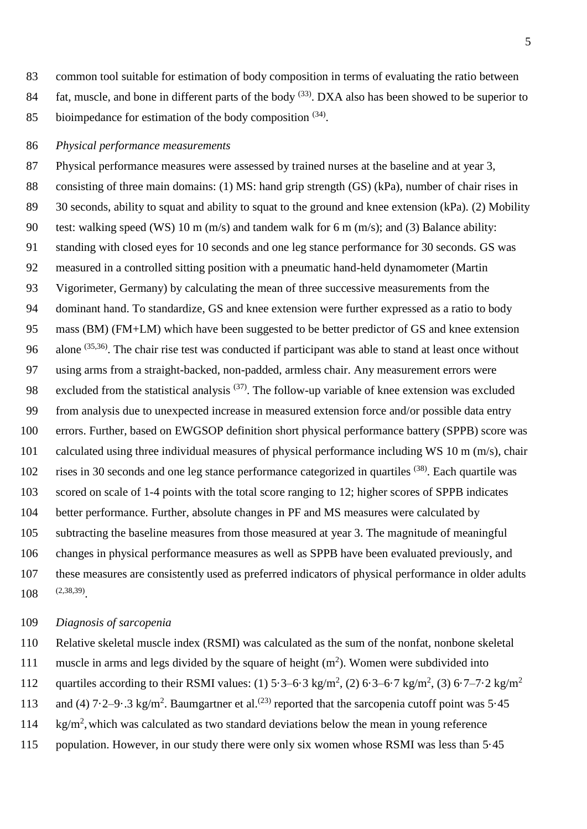common tool suitable for estimation of body composition in terms of evaluating the ratio between 84 fat, muscle, and bone in different parts of the body  $^{(33)}$ . DXA also has been showed to be superior to 85 bioimpedance for estimation of the body composition  $(34)$ .

#### *Physical performance measurements*

 Physical performance measures were assessed by trained nurses at the baseline and at year 3, 88 consisting of three main domains: (1) MS: hand grip strength (GS) (kPa), number of chair rises in 30 seconds, ability to squat and ability to squat to the ground and knee extension (kPa). (2) Mobility test: walking speed (WS) 10 m (m/s) and tandem walk for 6 m (m/s); and (3) Balance ability: standing with closed eyes for 10 seconds and one leg stance performance for 30 seconds. GS was measured in a controlled sitting position with a pneumatic hand-held dynamometer (Martin Vigorimeter, Germany) by calculating the mean of three successive measurements from the dominant hand. To standardize, GS and knee extension were further expressed as a ratio to body mass (BM) (FM+LM) which have been suggested to be better predictor of GS and knee extension 96 alone  $(35,36)$ . The chair rise test was conducted if participant was able to stand at least once without using arms from a straight-backed, non-padded, armless chair. Any measurement errors were 98 excluded from the statistical analysis  $(37)$ . The follow-up variable of knee extension was excluded from analysis due to unexpected increase in measured extension force and/or possible data entry errors. Further, based on EWGSOP definition short physical performance battery (SPPB) score was calculated using three individual measures of physical performance including WS 10 m (m/s), chair 102 rises in 30 seconds and one leg stance performance categorized in quartiles <sup>(38)</sup>. Each quartile was scored on scale of 1-4 points with the total score ranging to 12; higher scores of SPPB indicates better performance. Further, absolute changes in PF and MS measures were calculated by subtracting the baseline measures from those measured at year 3. The magnitude of meaningful changes in physical performance measures as well as SPPB have been evaluated previously, and these measures are consistently used as preferred indicators of physical performance in older adults  $(2,38,39)$ .

#### *Diagnosis of sarcopenia*

- Relative skeletal muscle index (RSMI) was calculated as the sum of the nonfat, nonbone skeletal
- 111 muscle in arms and legs divided by the square of height  $(m<sup>2</sup>)$ . Women were subdivided into
- quartiles according to their RSMI values: (1)  $5.3-6.3$  kg/m<sup>2</sup>, (2)  $6.3-6.7$  kg/m<sup>2</sup>, (3)  $6.7-7.2$  kg/m<sup>2</sup>
- 113 and (4)  $7.2 9.3$  kg/m<sup>2</sup>. Baumgartner et al.<sup>(23)</sup> reported that the sarcopenia cutoff point was  $5.45$
- kg/m<sup>2</sup>, which was calculated as two standard deviations below the mean in young reference
- population. However, in our study there were only six women whose RSMI was less than 5·45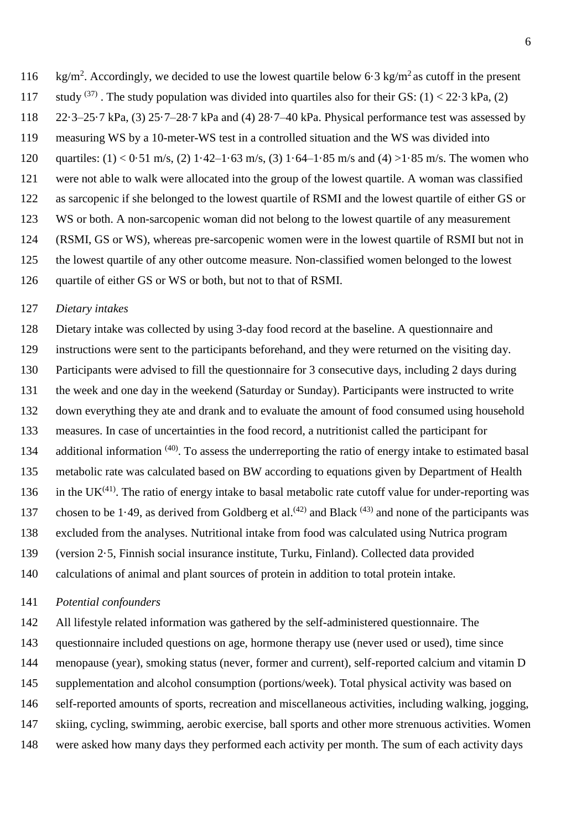- 116 kg/m<sup>2</sup>. Accordingly, we decided to use the lowest quartile below 6.3 kg/m<sup>2</sup> as cutoff in the present
- 117 study  $(37)$ . The study population was divided into quartiles also for their GS: (1) < 22.3 kPa, (2) 22·3–25·7 kPa, (3) 25·7–28·7 kPa and (4) 28·7–40 kPa. Physical performance test was assessed by
- measuring WS by a 10-meter-WS test in a controlled situation and the WS was divided into
- 120 quartiles:  $(1) < 0.51$  m/s,  $(2)$  1.42–1.63 m/s,  $(3)$  1.64–1.85 m/s and  $(4) > 1.85$  m/s. The women who
- were not able to walk were allocated into the group of the lowest quartile. A woman was classified
- as sarcopenic if she belonged to the lowest quartile of RSMI and the lowest quartile of either GS or
- WS or both. A non-sarcopenic woman did not belong to the lowest quartile of any measurement
- (RSMI, GS or WS), whereas pre-sarcopenic women were in the lowest quartile of RSMI but not in
- the lowest quartile of any other outcome measure. Non-classified women belonged to the lowest
- quartile of either GS or WS or both, but not to that of RSMI.

### *Dietary intakes*

 Dietary intake was collected by using 3-day food record at the baseline. A questionnaire and instructions were sent to the participants beforehand, and they were returned on the visiting day. Participants were advised to fill the questionnaire for 3 consecutive days, including 2 days during the week and one day in the weekend (Saturday or Sunday). Participants were instructed to write down everything they ate and drank and to evaluate the amount of food consumed using household measures. In case of uncertainties in the food record, a nutritionist called the participant for 134 additional information <sup>(40)</sup>. To assess the underreporting the ratio of energy intake to estimated basal metabolic rate was calculated based on BW according to equations given by Department of Health 136 in the UK<sup>(41)</sup>. The ratio of energy intake to basal metabolic rate cutoff value for under-reporting was 137 chosen to be 1.49, as derived from Goldberg et al.<sup>(42)</sup> and Black<sup>(43)</sup> and none of the participants was excluded from the analyses. Nutritional intake from food was calculated using Nutrica program (version 2·5, Finnish social insurance institute, Turku, Finland). Collected data provided

- 
- calculations of animal and plant sources of protein in addition to total protein intake.

## *Potential confounders*

 All lifestyle related information was gathered by the self-administered questionnaire. The questionnaire included questions on age, hormone therapy use (never used or used), time since menopause (year), smoking status (never, former and current), self-reported calcium and vitamin D supplementation and alcohol consumption (portions/week). Total physical activity was based on self-reported amounts of sports, recreation and miscellaneous activities, including walking, jogging, skiing, cycling, swimming, aerobic exercise, ball sports and other more strenuous activities. Women were asked how many days they performed each activity per month. The sum of each activity days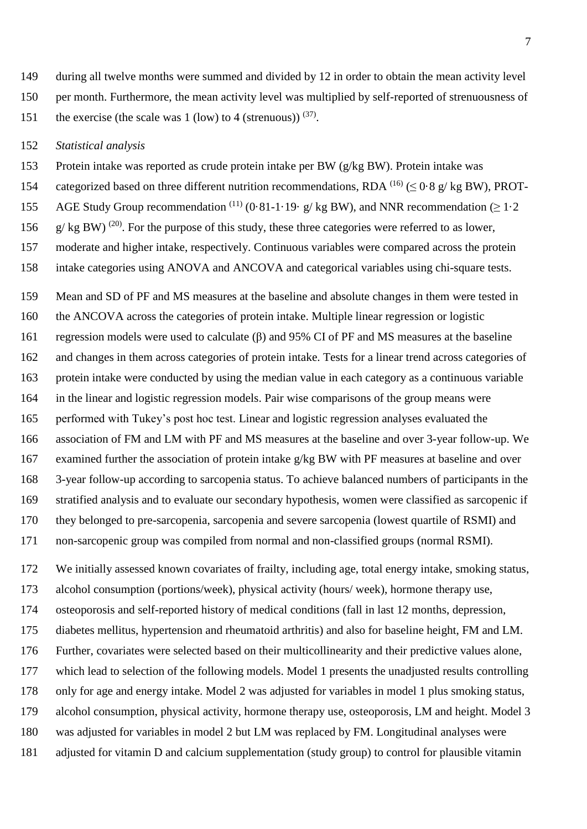- during all twelve months were summed and divided by 12 in order to obtain the mean activity level
- per month. Furthermore, the mean activity level was multiplied by self-reported of strenuousness of
- 151 the exercise (the scale was 1 (low) to 4 (strenuous))  $(37)$ .
- *Statistical analysis*
- Protein intake was reported as crude protein intake per BW (g/kg BW). Protein intake was
- 154 categorized based on three different nutrition recommendations, RDA  $^{(16)}$  ( $\leq$  0·8 g/ kg BW), PROT-
- 155 AGE Study Group recommendation <sup>(11)</sup> (0·81-1·19· g/ kg BW), and NNR recommendation ( $\geq 1.2$ )
- 156  $\frac{g}{kg}$  BW)<sup>(20)</sup>. For the purpose of this study, these three categories were referred to as lower,
- moderate and higher intake, respectively. Continuous variables were compared across the protein
- intake categories using ANOVA and ANCOVA and categorical variables using chi-square tests.
- Mean and SD of PF and MS measures at the baseline and absolute changes in them were tested in the ANCOVA across the categories of protein intake. Multiple linear regression or logistic regression models were used to calculate (β) and 95% CI of PF and MS measures at the baseline and changes in them across categories of protein intake. Tests for a linear trend across categories of protein intake were conducted by using the median value in each category as a continuous variable in the linear and logistic regression models. Pair wise comparisons of the group means were performed with Tukey's post hoc test. Linear and logistic regression analyses evaluated the association of FM and LM with PF and MS measures at the baseline and over 3-year follow-up. We examined further the association of protein intake g/kg BW with PF measures at baseline and over 3-year follow-up according to sarcopenia status. To achieve balanced numbers of participants in the stratified analysis and to evaluate our secondary hypothesis, women were classified as sarcopenic if they belonged to pre-sarcopenia, sarcopenia and severe sarcopenia (lowest quartile of RSMI) and non-sarcopenic group was compiled from normal and non-classified groups (normal RSMI).
- We initially assessed known covariates of frailty, including age, total energy intake, smoking status,
- alcohol consumption (portions/week), physical activity (hours/ week), hormone therapy use,
- osteoporosis and self-reported history of medical conditions (fall in last 12 months, depression,
- diabetes mellitus, hypertension and rheumatoid arthritis) and also for baseline height, FM and LM.
- Further, covariates were selected based on their multicollinearity and their predictive values alone,
- which lead to selection of the following models. Model 1 presents the unadjusted results controlling
- only for age and energy intake. Model 2 was adjusted for variables in model 1 plus smoking status,
- alcohol consumption, physical activity, hormone therapy use, osteoporosis, LM and height. Model 3
- was adjusted for variables in model 2 but LM was replaced by FM. Longitudinal analyses were
- adjusted for vitamin D and calcium supplementation (study group) to control for plausible vitamin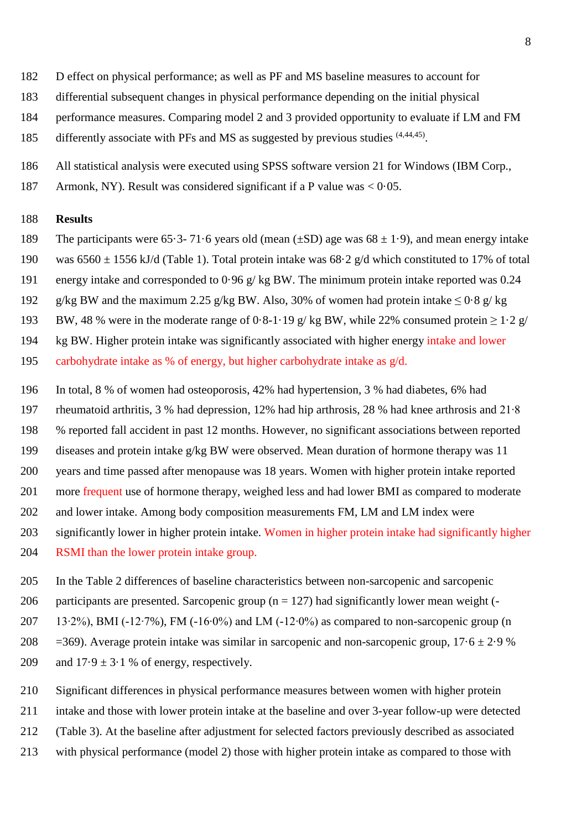- D effect on physical performance; as well as PF and MS baseline measures to account for
- differential subsequent changes in physical performance depending on the initial physical
- performance measures. Comparing model 2 and 3 provided opportunity to evaluate if LM and FM
- 185 differently associate with PFs and MS as suggested by previous studies <sup>(4,44,45)</sup>.
- All statistical analysis were executed using SPSS software version 21 for Windows (IBM Corp.,
- Armonk, NY). Result was considered significant if a P value was < 0·05.

#### **Results**

- 189 The participants were 65.3-71.6 years old (mean  $(\pm SD)$  age was 68  $\pm$  1.9), and mean energy intake
- 190 was  $6560 \pm 1556$  kJ/d (Table 1). Total protein intake was  $68.2$  g/d which constituted to 17% of total
- energy intake and corresponded to 0·96 g/ kg BW. The minimum protein intake reported was 0.24
- 192 g/kg BW and the maximum 2.25 g/kg BW. Also, 30% of women had protein intake  $\leq 0.8$  g/kg
- 193 BW, 48 % were in the moderate range of 0·8-1·19 g/ kg BW, while 22% consumed protein  $> 1.2$  g/
- kg BW. Higher protein intake was significantly associated with higher energy intake and lower
- carbohydrate intake as % of energy, but higher carbohydrate intake as g/d.
- In total, 8 % of women had osteoporosis, 42% had hypertension, 3 % had diabetes, 6% had
- rheumatoid arthritis, 3 % had depression, 12% had hip arthrosis, 28 % had knee arthrosis and 21∙8
- % reported fall accident in past 12 months. However, no significant associations between reported
- diseases and protein intake g/kg BW were observed. Mean duration of hormone therapy was 11
- years and time passed after menopause was 18 years. Women with higher protein intake reported
- more frequent use of hormone therapy, weighed less and had lower BMI as compared to moderate
- and lower intake. Among body composition measurements FM, LM and LM index were
- significantly lower in higher protein intake. Women in higher protein intake had significantly higher
- RSMI than the lower protein intake group.
- In the Table 2 differences of baseline characteristics between non-sarcopenic and sarcopenic
- 206 participants are presented. Sarcopenic group ( $n = 127$ ) had significantly lower mean weight (-
- 13∙2%), BMI (-12∙7%), FM (-16∙0%) and LM (-12∙0%) as compared to non-sarcopenic group (n
- 208 = 369). Average protein intake was similar in sarcopenic and non-sarcopenic group,  $17.6 \pm 2.9$  % 209 and  $17.9 \pm 3.1$  % of energy, respectively.
- Significant differences in physical performance measures between women with higher protein
- intake and those with lower protein intake at the baseline and over 3-year follow-up were detected
- (Table 3). At the baseline after adjustment for selected factors previously described as associated
- with physical performance (model 2) those with higher protein intake as compared to those with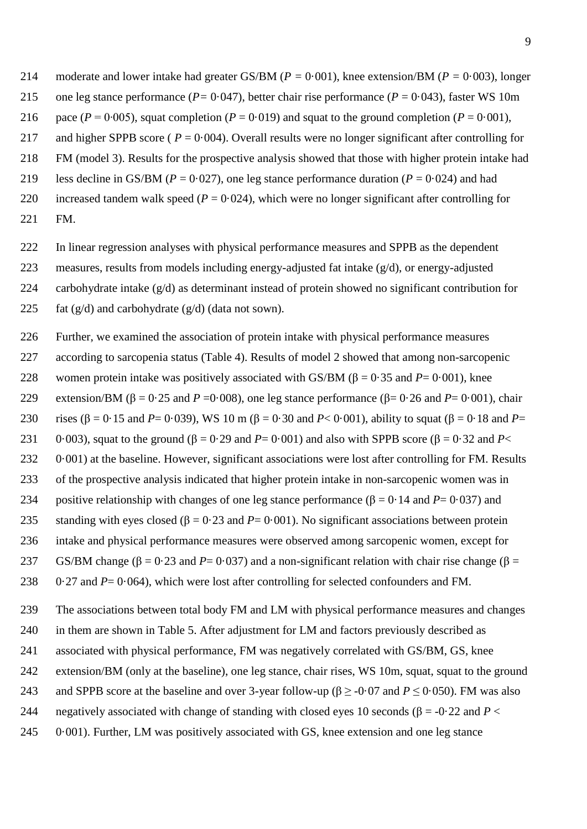- moderate and lower intake had greater GS/BM (*P =* 0·001), knee extension/BM (*P =* 0·003), longer one leg stance performance (*P=* 0·047), better chair rise performance (*P* = 0·043), faster WS 10m
- pace (*P* = 0∙005), squat completion (*P* = 0·019) and squat to the ground completion (*P* = 0·001),
- 217 and higher SPPB score ( $P = 0.004$ ). Overall results were no longer significant after controlling for
- FM (model 3). Results for the prospective analysis showed that those with higher protein intake had
- 219 less decline in GS/BM ( $P = 0.027$ ), one leg stance performance duration ( $P = 0.024$ ) and had
- 220 increased tandem walk speed  $(P = 0.024)$ , which were no longer significant after controlling for FM.
- In linear regression analyses with physical performance measures and SPPB as the dependent
- measures, results from models including energy-adjusted fat intake (g/d), or energy-adjusted
- carbohydrate intake (g/d) as determinant instead of protein showed no significant contribution for
- 225 fat  $(g/d)$  and carbohydrate  $(g/d)$  (data not sown).
- Further, we examined the association of protein intake with physical performance measures
- according to sarcopenia status (Table 4). Results of model 2 showed that among non-sarcopenic
- 228 women protein intake was positively associated with GS/BM ( $β = 0.35$  and  $P = 0.001$ ), knee
- 229 extension/BM (β = 0·25 and *P* = 0·008), one leg stance performance (β= 0·26 and *P* = 0·001), chair
- rises (β = 0·15 and *P*= 0·039), WS 10 m (β = 0·30 and *P*< 0·001), ability to squat (β = 0·18 and *P*=
- 231 0·003), squat to the ground  $(\beta = 0.29$  and  $P = 0.001$ ) and also with SPPB score  $(\beta = 0.32$  and  $P <$
- 232 0·001) at the baseline. However, significant associations were lost after controlling for FM. Results
- of the prospective analysis indicated that higher protein intake in non-sarcopenic women was in
- 234 positive relationship with changes of one leg stance performance ( $\beta = 0.14$  and  $P = 0.037$ ) and
- 235 standing with eyes closed ( $\beta = 0.23$  and  $P = 0.001$ ). No significant associations between protein
- intake and physical performance measures were observed among sarcopenic women, except for
- 237 GS/BM change (β = 0·23 and *P* = 0·037) and a non-significant relation with chair rise change (β =
- 238 0·27 and *P*= 0·064), which were lost after controlling for selected confounders and FM.
- The associations between total body FM and LM with physical performance measures and changes
- in them are shown in Table 5. After adjustment for LM and factors previously described as
- associated with physical performance, FM was negatively correlated with GS/BM, GS, knee
- extension/BM (only at the baseline), one leg stance, chair rises, WS 10m, squat, squat to the ground
- and SPPB score at the baseline and over 3-year follow-up (β ≥ -0·07 and *P* ≤ 0·050). FM was also
- 244 negatively associated with change of standing with closed eyes 10 seconds (β =  $-0.22$  and *P* <
- 0·001). Further, LM was positively associated with GS, knee extension and one leg stance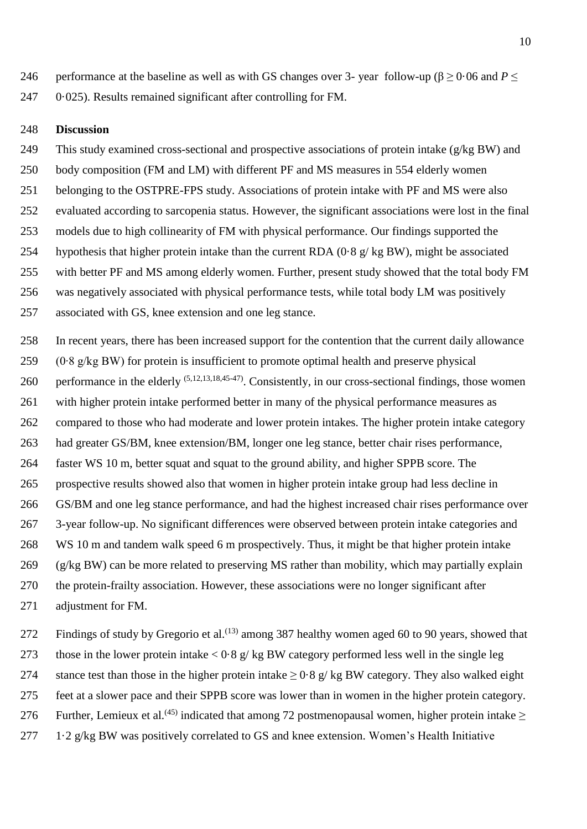- 246 performance at the baseline as well as with GS changes over 3- year follow-up ( $β ≥ 0.06$  and  $P ≤$
- 0·025). Results remained significant after controlling for FM.

#### **Discussion**

 This study examined cross-sectional and prospective associations of protein intake (g/kg BW) and body composition (FM and LM) with different PF and MS measures in 554 elderly women belonging to the OSTPRE-FPS study. Associations of protein intake with PF and MS were also evaluated according to sarcopenia status. However, the significant associations were lost in the final models due to high collinearity of FM with physical performance. Our findings supported the 254 hypothesis that higher protein intake than the current RDA  $(0.8 \text{ g/kg BW})$ , might be associated with better PF and MS among elderly women. Further, present study showed that the total body FM was negatively associated with physical performance tests, while total body LM was positively associated with GS, knee extension and one leg stance.

In recent years, there has been increased support for the contention that the current daily allowance

- (0∙8 g/kg BW) for protein is insufficient to promote optimal health and preserve physical
- 260 performance in the elderly  $(5,12,13,18,45-47)$ . Consistently, in our cross-sectional findings, those women
- with higher protein intake performed better in many of the physical performance measures as
- compared to those who had moderate and lower protein intakes. The higher protein intake category
- had greater GS/BM, knee extension/BM, longer one leg stance, better chair rises performance,
- faster WS 10 m, better squat and squat to the ground ability, and higher SPPB score. The
- prospective results showed also that women in higher protein intake group had less decline in
- GS/BM and one leg stance performance, and had the highest increased chair rises performance over
- 3-year follow-up. No significant differences were observed between protein intake categories and
- WS 10 m and tandem walk speed 6 m prospectively. Thus, it might be that higher protein intake
- (g/kg BW) can be more related to preserving MS rather than mobility, which may partially explain
- the protein-frailty association. However, these associations were no longer significant after
- adjustment for FM.

272 Findings of study by Gregorio et al.<sup> $(13)$ </sup> among 387 healthy women aged 60 to 90 years, showed that 273 those in the lower protein intake  $\langle 0.8 \text{ g/kg BW}$  category performed less well in the single leg 274 stance test than those in the higher protein intake  $\geq 0.8$  g/kg BW category. They also walked eight feet at a slower pace and their SPPB score was lower than in women in the higher protein category. 276 Further, Lemieux et al.<sup>(45)</sup> indicated that among 72 postmenopausal women, higher protein intake  $\geq$ 1·2 g/kg BW was positively correlated to GS and knee extension. Women's Health Initiative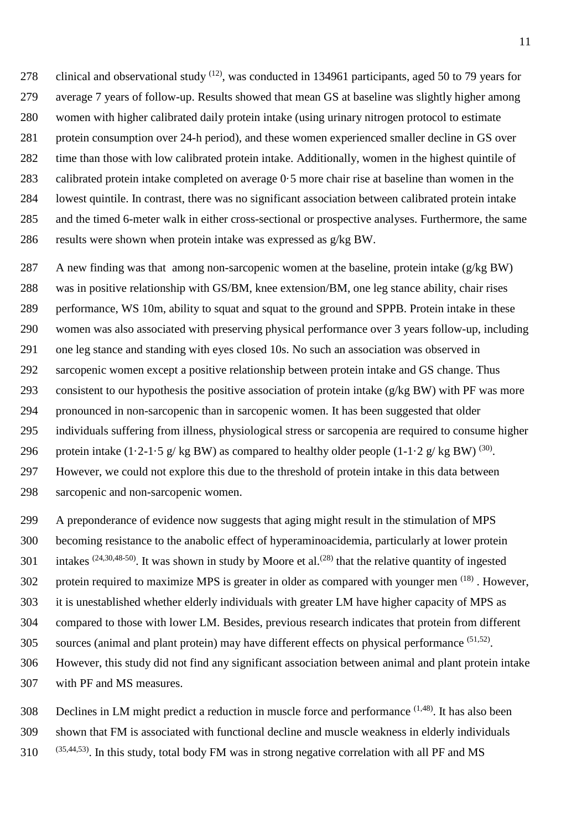278 clinical and observational study  $(12)$ , was conducted in 134961 participants, aged 50 to 79 years for average 7 years of follow-up. Results showed that mean GS at baseline was slightly higher among women with higher calibrated daily protein intake (using urinary nitrogen protocol to estimate protein consumption over 24-h period), and these women experienced smaller decline in GS over time than those with low calibrated protein intake. Additionally, women in the highest quintile of calibrated protein intake completed on average 0·5 more chair rise at baseline than women in the lowest quintile. In contrast, there was no significant association between calibrated protein intake and the timed 6-meter walk in either cross-sectional or prospective analyses. Furthermore, the same results were shown when protein intake was expressed as g/kg BW.

 A new finding was that among non-sarcopenic women at the baseline, protein intake (g/kg BW) was in positive relationship with GS/BM, knee extension/BM, one leg stance ability, chair rises performance, WS 10m, ability to squat and squat to the ground and SPPB. Protein intake in these women was also associated with preserving physical performance over 3 years follow-up, including one leg stance and standing with eyes closed 10s. No such an association was observed in sarcopenic women except a positive relationship between protein intake and GS change. Thus consistent to our hypothesis the positive association of protein intake (g/kg BW) with PF was more pronounced in non-sarcopenic than in sarcopenic women. It has been suggested that older individuals suffering from illness, physiological stress or sarcopenia are required to consume higher 296 protein intake  $(1.2-1.5 \text{ g/kg BW})$  as compared to healthy older people  $(1-1.2 \text{ g/kg BW})^{(30)}$ . However, we could not explore this due to the threshold of protein intake in this data between sarcopenic and non-sarcopenic women.

 A preponderance of evidence now suggests that aging might result in the stimulation of MPS becoming resistance to the anabolic effect of hyperaminoacidemia, particularly at lower protein 301 intakes  $(24,30,48-50)$ . It was shown in study by Moore et al.<sup>(28)</sup> that the relative quantity of ingested 302 protein required to maximize MPS is greater in older as compared with younger men  $(18)$ . However, it is unestablished whether elderly individuals with greater LM have higher capacity of MPS as compared to those with lower LM. Besides, previous research indicates that protein from different sources (animal and plant protein) may have different effects on physical performance  $(51,52)$ . However, this study did not find any significant association between animal and plant protein intake with PF and MS measures.

308 Declines in LM might predict a reduction in muscle force and performance  $(1,48)$ . It has also been shown that FM is associated with functional decline and muscle weakness in elderly individuals <sup> $(35,44,53)$ </sup>. In this study, total body FM was in strong negative correlation with all PF and MS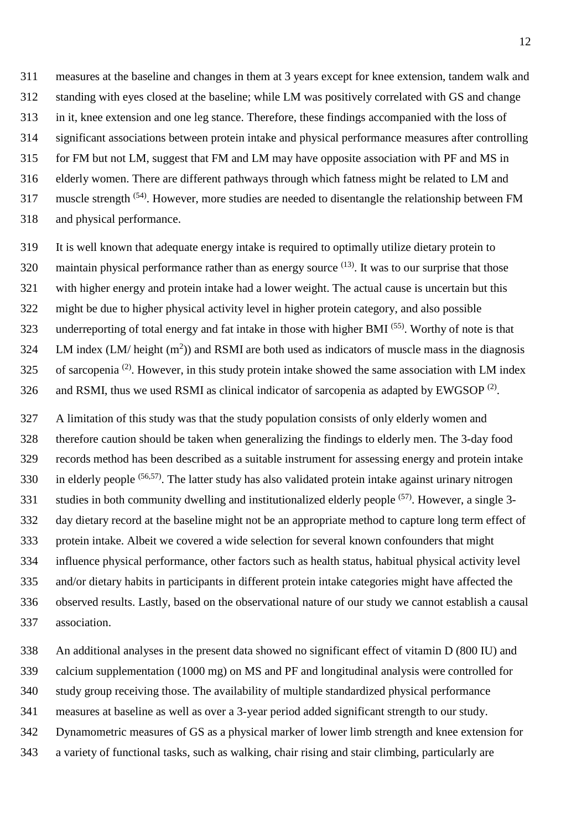measures at the baseline and changes in them at 3 years except for knee extension, tandem walk and standing with eyes closed at the baseline; while LM was positively correlated with GS and change in it, knee extension and one leg stance. Therefore, these findings accompanied with the loss of significant associations between protein intake and physical performance measures after controlling for FM but not LM, suggest that FM and LM may have opposite association with PF and MS in elderly women. There are different pathways through which fatness might be related to LM and 317 muscle strength  $(54)$ . However, more studies are needed to disentangle the relationship between FM and physical performance.

 It is well known that adequate energy intake is required to optimally utilize dietary protein to 320 maintain physical performance rather than as energy source  $(13)$ . It was to our surprise that those with higher energy and protein intake had a lower weight. The actual cause is uncertain but this might be due to higher physical activity level in higher protein category, and also possible 323 underreporting of total energy and fat intake in those with higher BMI  $(55)$ . Worthy of note is that 324 LM index (LM/ height  $(m<sup>2</sup>)$ ) and RSMI are both used as indicators of muscle mass in the diagnosis 325 of sarcopenia  $(2)$ . However, in this study protein intake showed the same association with LM index 326 and RSMI, thus we used RSMI as clinical indicator of sarcopenia as adapted by EWGSOP  $(2)$ .

 A limitation of this study was that the study population consists of only elderly women and therefore caution should be taken when generalizing the findings to elderly men. The 3-day food records method has been described as a suitable instrument for assessing energy and protein intake 330 in elderly people <sup>(56,57)</sup>. The latter study has also validated protein intake against urinary nitrogen studies in both community dwelling and institutionalized elderly people  $(57)$ . However, a single 3- day dietary record at the baseline might not be an appropriate method to capture long term effect of protein intake. Albeit we covered a wide selection for several known confounders that might influence physical performance, other factors such as health status, habitual physical activity level and/or dietary habits in participants in different protein intake categories might have affected the observed results. Lastly, based on the observational nature of our study we cannot establish a causal association.

 An additional analyses in the present data showed no significant effect of vitamin D (800 IU) and calcium supplementation (1000 mg) on MS and PF and longitudinal analysis were controlled for study group receiving those. The availability of multiple standardized physical performance measures at baseline as well as over a 3-year period added significant strength to our study. Dynamometric measures of GS as a physical marker of lower limb strength and knee extension for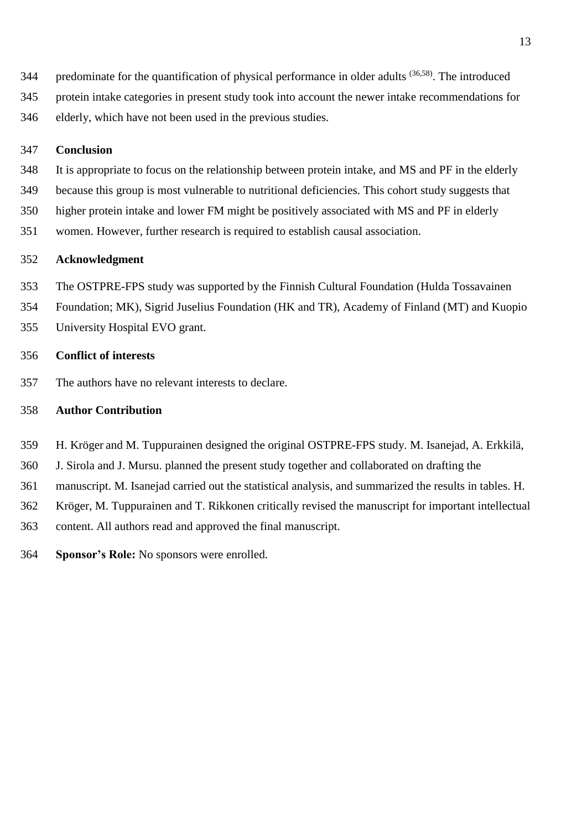- 344 predominate for the quantification of physical performance in older adults  $(36,58)$ . The introduced
- protein intake categories in present study took into account the newer intake recommendations for
- elderly, which have not been used in the previous studies.

## **Conclusion**

- It is appropriate to focus on the relationship between protein intake, and MS and PF in the elderly
- because this group is most vulnerable to nutritional deficiencies. This cohort study suggests that
- higher protein intake and lower FM might be positively associated with MS and PF in elderly
- women. However, further research is required to establish causal association.

#### **Acknowledgment**

- The OSTPRE-FPS study was supported by the Finnish Cultural Foundation (Hulda Tossavainen
- Foundation; MK), Sigrid Juselius Foundation (HK and TR), Academy of Finland (MT) and Kuopio
- University Hospital EVO grant.

## **Conflict of interests**

The authors have no relevant interests to declare.

# **Author Contribution**

- H. Kröger and M. Tuppurainen designed the original OSTPRE-FPS study. M. Isanejad, A. Erkkilä,
- J. Sirola and J. Mursu. planned the present study together and collaborated on drafting the
- manuscript. M. Isanejad carried out the statistical analysis, and summarized the results in tables. H.
- Kröger, M. Tuppurainen and T. Rikkonen critically revised the manuscript for important intellectual
- content. All authors read and approved the final manuscript.
- **Sponsor's Role:** No sponsors were enrolled.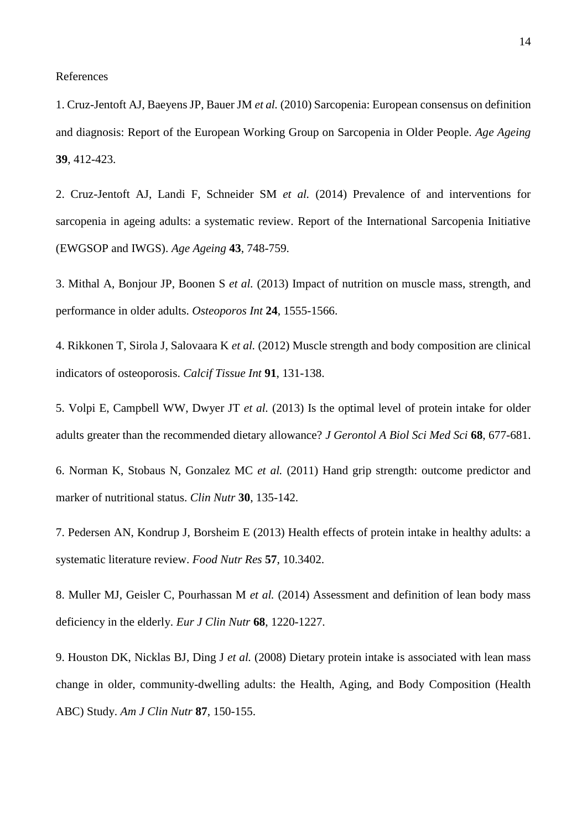References

1. Cruz-Jentoft AJ, Baeyens JP, Bauer JM *et al.* (2010) Sarcopenia: European consensus on definition and diagnosis: Report of the European Working Group on Sarcopenia in Older People. *Age Ageing*  **39**, 412-423.

2. Cruz-Jentoft AJ, Landi F, Schneider SM *et al.* (2014) Prevalence of and interventions for sarcopenia in ageing adults: a systematic review. Report of the International Sarcopenia Initiative (EWGSOP and IWGS). *Age Ageing* **43**, 748-759.

3. Mithal A, Bonjour JP, Boonen S *et al.* (2013) Impact of nutrition on muscle mass, strength, and performance in older adults. *Osteoporos Int* **24**, 1555-1566.

4. Rikkonen T, Sirola J, Salovaara K *et al.* (2012) Muscle strength and body composition are clinical indicators of osteoporosis. *Calcif Tissue Int* **91**, 131-138.

5. Volpi E, Campbell WW, Dwyer JT *et al.* (2013) Is the optimal level of protein intake for older adults greater than the recommended dietary allowance? *J Gerontol A Biol Sci Med Sci* **68**, 677-681.

6. Norman K, Stobaus N, Gonzalez MC *et al.* (2011) Hand grip strength: outcome predictor and marker of nutritional status. *Clin Nutr* **30**, 135-142.

7. Pedersen AN, Kondrup J, Borsheim E (2013) Health effects of protein intake in healthy adults: a systematic literature review. *Food Nutr Res* **57**, 10.3402.

8. Muller MJ, Geisler C, Pourhassan M *et al.* (2014) Assessment and definition of lean body mass deficiency in the elderly. *Eur J Clin Nutr* **68**, 1220-1227.

9. Houston DK, Nicklas BJ, Ding J *et al.* (2008) Dietary protein intake is associated with lean mass change in older, community-dwelling adults: the Health, Aging, and Body Composition (Health ABC) Study. *Am J Clin Nutr* **87**, 150-155.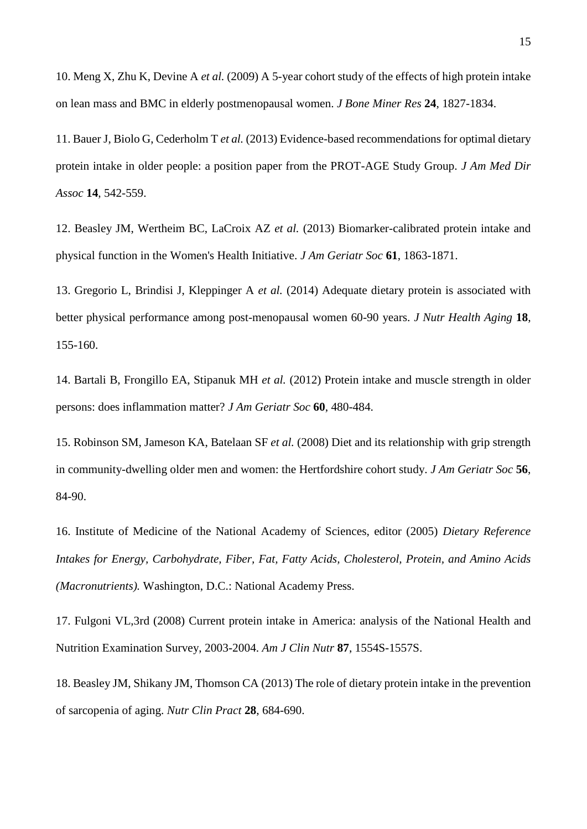10. Meng X, Zhu K, Devine A *et al.* (2009) A 5-year cohort study of the effects of high protein intake on lean mass and BMC in elderly postmenopausal women. *J Bone Miner Res* **24**, 1827-1834.

11. Bauer J, Biolo G, Cederholm T *et al.* (2013) Evidence-based recommendations for optimal dietary protein intake in older people: a position paper from the PROT-AGE Study Group. *J Am Med Dir Assoc* **14**, 542-559.

12. Beasley JM, Wertheim BC, LaCroix AZ *et al.* (2013) Biomarker-calibrated protein intake and physical function in the Women's Health Initiative. *J Am Geriatr Soc* **61**, 1863-1871.

13. Gregorio L, Brindisi J, Kleppinger A *et al.* (2014) Adequate dietary protein is associated with better physical performance among post-menopausal women 60-90 years. *J Nutr Health Aging* **18**, 155-160.

14. Bartali B, Frongillo EA, Stipanuk MH *et al.* (2012) Protein intake and muscle strength in older persons: does inflammation matter? *J Am Geriatr Soc* **60**, 480-484.

15. Robinson SM, Jameson KA, Batelaan SF *et al.* (2008) Diet and its relationship with grip strength in community-dwelling older men and women: the Hertfordshire cohort study. *J Am Geriatr Soc* **56**, 84-90.

16. Institute of Medicine of the National Academy of Sciences, editor (2005) *Dietary Reference Intakes for Energy, Carbohydrate, Fiber, Fat, Fatty Acids, Cholesterol, Protein, and Amino Acids (Macronutrients).* Washington, D.C.: National Academy Press.

17. Fulgoni VL,3rd (2008) Current protein intake in America: analysis of the National Health and Nutrition Examination Survey, 2003-2004. *Am J Clin Nutr* **87**, 1554S-1557S.

18. Beasley JM, Shikany JM, Thomson CA (2013) The role of dietary protein intake in the prevention of sarcopenia of aging. *Nutr Clin Pract* **28**, 684-690.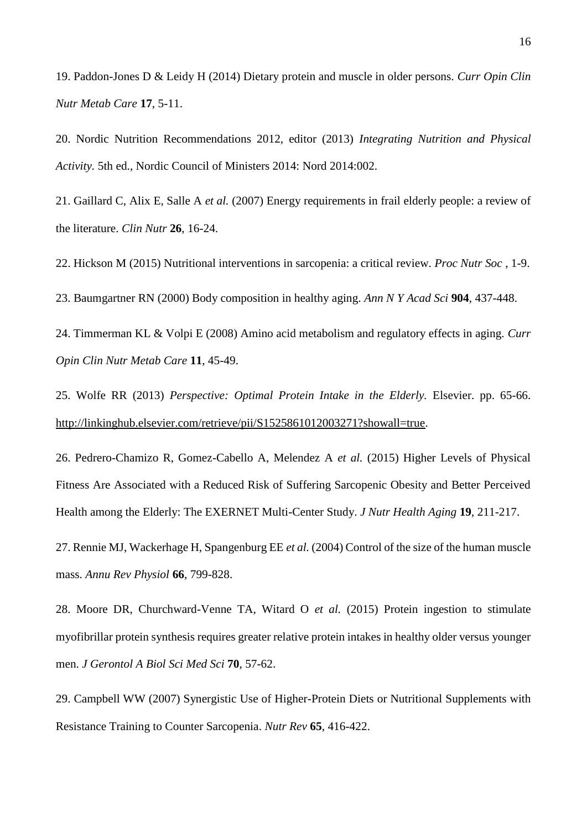19. Paddon-Jones D & Leidy H (2014) Dietary protein and muscle in older persons. *Curr Opin Clin Nutr Metab Care* **17**, 5-11.

20. Nordic Nutrition Recommendations 2012, editor (2013) *Integrating Nutrition and Physical Activity.* 5th ed., Nordic Council of Ministers 2014: Nord 2014:002.

21. Gaillard C, Alix E, Salle A *et al.* (2007) Energy requirements in frail elderly people: a review of the literature. *Clin Nutr* **26**, 16-24.

22. Hickson M (2015) Nutritional interventions in sarcopenia: a critical review. *Proc Nutr Soc* , 1-9.

23. Baumgartner RN (2000) Body composition in healthy aging. *Ann N Y Acad Sci* **904**, 437-448.

24. Timmerman KL & Volpi E (2008) Amino acid metabolism and regulatory effects in aging. *Curr Opin Clin Nutr Metab Care* **11**, 45-49.

25. Wolfe RR (2013) *Perspective: Optimal Protein Intake in the Elderly.* Elsevier. pp. 65-66. [http://linkinghub.elsevier.com/retrieve/pii/S1525861012003271?showall=true.](http://linkinghub.elsevier.com/retrieve/pii/S1525861012003271?showall=true)

26. Pedrero-Chamizo R, Gomez-Cabello A, Melendez A *et al.* (2015) Higher Levels of Physical Fitness Are Associated with a Reduced Risk of Suffering Sarcopenic Obesity and Better Perceived Health among the Elderly: The EXERNET Multi-Center Study. *J Nutr Health Aging* **19**, 211-217.

27. Rennie MJ, Wackerhage H, Spangenburg EE *et al.* (2004) Control of the size of the human muscle mass. *Annu Rev Physiol* **66**, 799-828.

28. Moore DR, Churchward-Venne TA, Witard O *et al.* (2015) Protein ingestion to stimulate myofibrillar protein synthesis requires greater relative protein intakes in healthy older versus younger men. *J Gerontol A Biol Sci Med Sci* **70**, 57-62.

29. Campbell WW (2007) Synergistic Use of Higher-Protein Diets or Nutritional Supplements with Resistance Training to Counter Sarcopenia. *Nutr Rev* **65**, 416-422.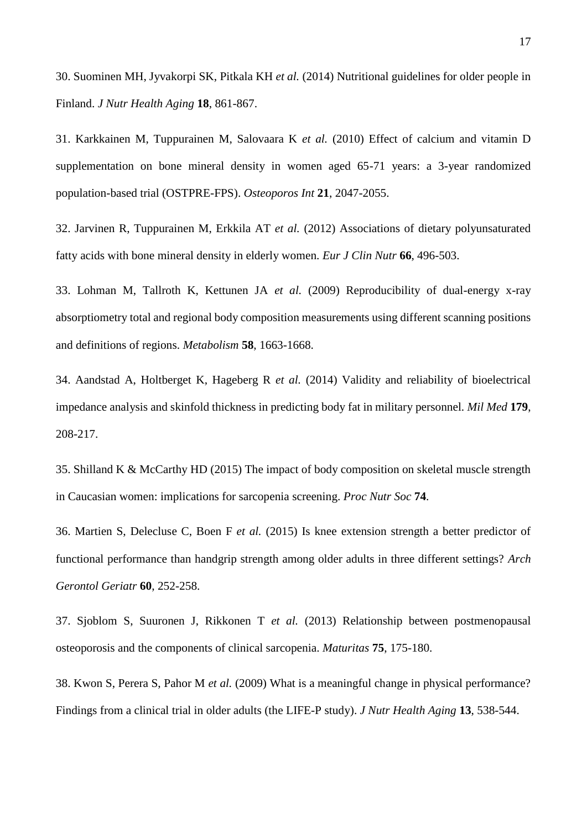30. Suominen MH, Jyvakorpi SK, Pitkala KH *et al.* (2014) Nutritional guidelines for older people in Finland. *J Nutr Health Aging* **18**, 861-867.

31. Karkkainen M, Tuppurainen M, Salovaara K *et al.* (2010) Effect of calcium and vitamin D supplementation on bone mineral density in women aged 65-71 years: a 3-year randomized population-based trial (OSTPRE-FPS). *Osteoporos Int* **21**, 2047-2055.

32. Jarvinen R, Tuppurainen M, Erkkila AT *et al.* (2012) Associations of dietary polyunsaturated fatty acids with bone mineral density in elderly women. *Eur J Clin Nutr* **66**, 496-503.

33. Lohman M, Tallroth K, Kettunen JA *et al.* (2009) Reproducibility of dual-energy x-ray absorptiometry total and regional body composition measurements using different scanning positions and definitions of regions. *Metabolism* **58**, 1663-1668.

34. Aandstad A, Holtberget K, Hageberg R *et al.* (2014) Validity and reliability of bioelectrical impedance analysis and skinfold thickness in predicting body fat in military personnel. *Mil Med* **179**, 208-217.

35. Shilland K & McCarthy HD (2015) The impact of body composition on skeletal muscle strength in Caucasian women: implications for sarcopenia screening. *Proc Nutr Soc* **74**.

36. Martien S, Delecluse C, Boen F *et al.* (2015) Is knee extension strength a better predictor of functional performance than handgrip strength among older adults in three different settings? *Arch Gerontol Geriatr* **60**, 252-258.

37. Sjoblom S, Suuronen J, Rikkonen T *et al.* (2013) Relationship between postmenopausal osteoporosis and the components of clinical sarcopenia. *Maturitas* **75**, 175-180.

38. Kwon S, Perera S, Pahor M *et al.* (2009) What is a meaningful change in physical performance? Findings from a clinical trial in older adults (the LIFE-P study). *J Nutr Health Aging* **13**, 538-544.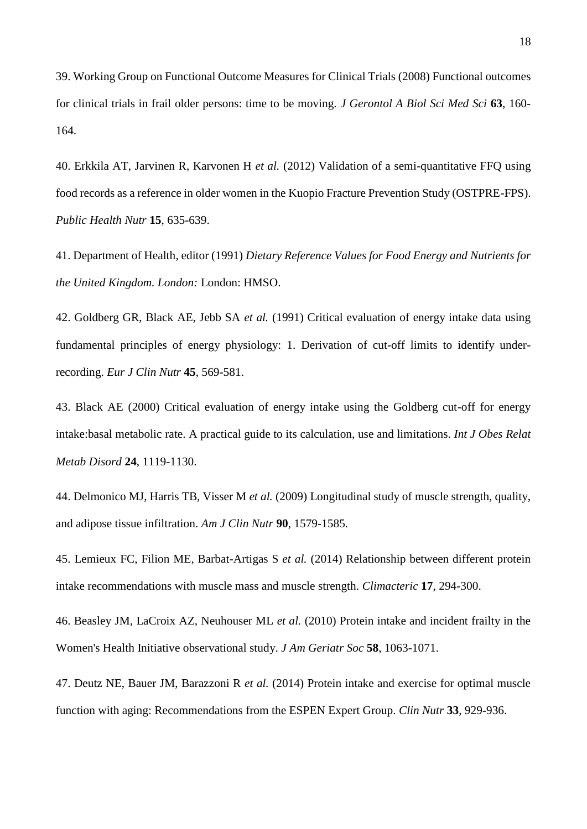39. Working Group on Functional Outcome Measures for Clinical Trials (2008) Functional outcomes for clinical trials in frail older persons: time to be moving. *J Gerontol A Biol Sci Med Sci* **63**, 160- 164.

40. Erkkila AT, Jarvinen R, Karvonen H *et al.* (2012) Validation of a semi-quantitative FFQ using food records as a reference in older women in the Kuopio Fracture Prevention Study (OSTPRE-FPS). *Public Health Nutr* **15**, 635-639.

41. Department of Health, editor (1991) *Dietary Reference Values for Food Energy and Nutrients for the United Kingdom. London:* London: HMSO.

42. Goldberg GR, Black AE, Jebb SA *et al.* (1991) Critical evaluation of energy intake data using fundamental principles of energy physiology: 1. Derivation of cut-off limits to identify underrecording. *Eur J Clin Nutr* **45**, 569-581.

43. Black AE (2000) Critical evaluation of energy intake using the Goldberg cut-off for energy intake:basal metabolic rate. A practical guide to its calculation, use and limitations. *Int J Obes Relat Metab Disord* **24**, 1119-1130.

44. Delmonico MJ, Harris TB, Visser M *et al.* (2009) Longitudinal study of muscle strength, quality, and adipose tissue infiltration. *Am J Clin Nutr* **90**, 1579-1585.

45. Lemieux FC, Filion ME, Barbat-Artigas S *et al.* (2014) Relationship between different protein intake recommendations with muscle mass and muscle strength. *Climacteric* **17**, 294-300.

46. Beasley JM, LaCroix AZ, Neuhouser ML *et al.* (2010) Protein intake and incident frailty in the Women's Health Initiative observational study. *J Am Geriatr Soc* **58**, 1063-1071.

47. Deutz NE, Bauer JM, Barazzoni R *et al.* (2014) Protein intake and exercise for optimal muscle function with aging: Recommendations from the ESPEN Expert Group. *Clin Nutr* **33**, 929-936.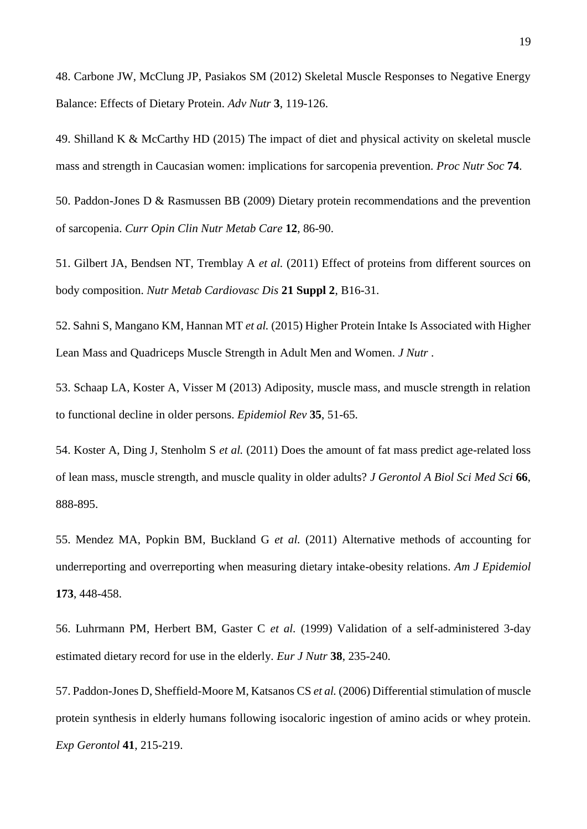48. Carbone JW, McClung JP, Pasiakos SM (2012) Skeletal Muscle Responses to Negative Energy Balance: Effects of Dietary Protein. *Adv Nutr* **3**, 119-126.

49. Shilland K & McCarthy HD (2015) The impact of diet and physical activity on skeletal muscle mass and strength in Caucasian women: implications for sarcopenia prevention. *Proc Nutr Soc* **74**.

50. Paddon-Jones D & Rasmussen BB (2009) Dietary protein recommendations and the prevention of sarcopenia. *Curr Opin Clin Nutr Metab Care* **12**, 86-90.

51. Gilbert JA, Bendsen NT, Tremblay A *et al.* (2011) Effect of proteins from different sources on body composition. *Nutr Metab Cardiovasc Dis* **21 Suppl 2**, B16-31.

52. Sahni S, Mangano KM, Hannan MT *et al.* (2015) Higher Protein Intake Is Associated with Higher Lean Mass and Quadriceps Muscle Strength in Adult Men and Women. *J Nutr* .

53. Schaap LA, Koster A, Visser M (2013) Adiposity, muscle mass, and muscle strength in relation to functional decline in older persons. *Epidemiol Rev* **35**, 51-65.

54. Koster A, Ding J, Stenholm S *et al.* (2011) Does the amount of fat mass predict age-related loss of lean mass, muscle strength, and muscle quality in older adults? *J Gerontol A Biol Sci Med Sci* **66**, 888-895.

55. Mendez MA, Popkin BM, Buckland G *et al.* (2011) Alternative methods of accounting for underreporting and overreporting when measuring dietary intake-obesity relations. *Am J Epidemiol*  **173**, 448-458.

56. Luhrmann PM, Herbert BM, Gaster C *et al.* (1999) Validation of a self-administered 3-day estimated dietary record for use in the elderly. *Eur J Nutr* **38**, 235-240.

57. Paddon-Jones D, Sheffield-Moore M, Katsanos CS *et al.* (2006) Differential stimulation of muscle protein synthesis in elderly humans following isocaloric ingestion of amino acids or whey protein. *Exp Gerontol* **41**, 215-219.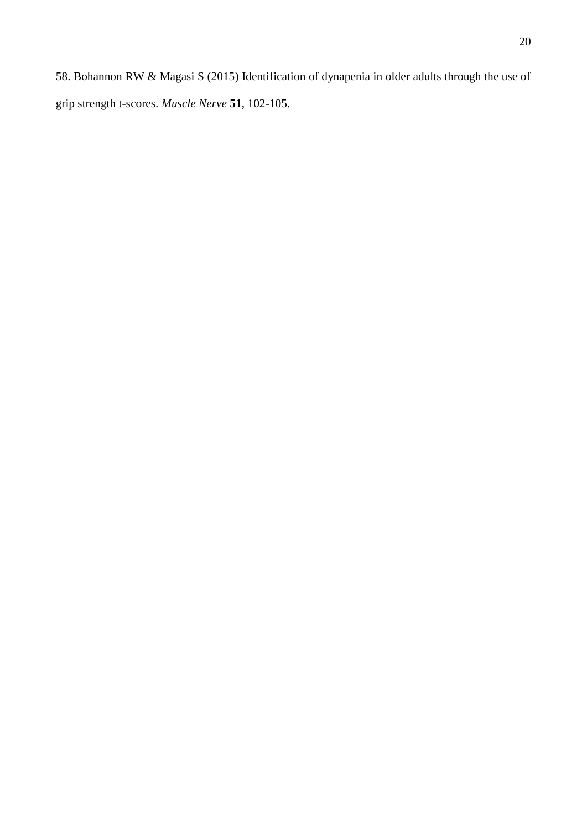58. Bohannon RW & Magasi S (2015) Identification of dynapenia in older adults through the use of grip strength t-scores. *Muscle Nerve* **51**, 102-105.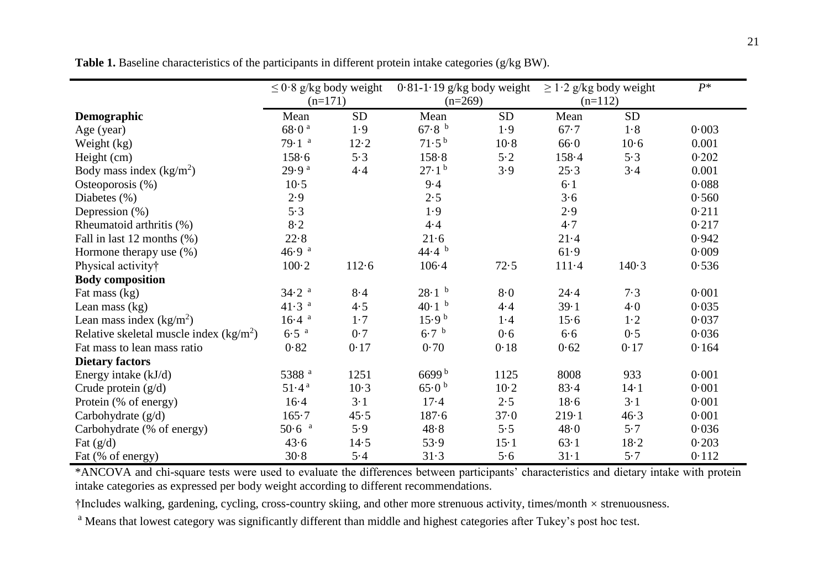|                                          | $\leq$ 0.8 g/kg body weight |           | $0.81-1.19$ g/kg body weight |           | $\geq 1.2$ g/kg body weight | $P^*$     |       |
|------------------------------------------|-----------------------------|-----------|------------------------------|-----------|-----------------------------|-----------|-------|
|                                          | $(n=171)$                   |           | $(n=269)$                    |           | $(n=112)$                   |           |       |
| Demographic                              | Mean                        | <b>SD</b> | Mean                         | <b>SD</b> | Mean                        | <b>SD</b> |       |
| Age (year)                               | 68.0 <sup>a</sup>           | 1.9       | 67.8 <sup>b</sup>            | 1.9       | 67.7                        | 1.8       | 0.003 |
| Weight (kg)                              | 79.1 <sup>a</sup>           | 12.2      | $71.5^{b}$                   | 10.8      | 660                         | $10-6$    | 0.001 |
| Height (cm)                              | 158.6                       | 5.3       | 158.8                        | 5.2       | 158.4                       | 5.3       | 0.202 |
| Body mass index $(kg/m2)$                | 29.9 <sup>a</sup>           | 4.4       | $27.1^{b}$                   | 3.9       | 25.3                        | 3.4       | 0.001 |
| Osteoporosis $(\%)$                      | $10-5$                      |           | 9.4                          |           | 6·1                         |           | 0.088 |
| Diabetes $(\% )$                         | 2.9                         |           | 2.5                          |           | 3.6                         |           | 0.560 |
| Depression (%)                           | 5.3                         |           | 1.9                          |           | 2.9                         |           | 0.211 |
| Rheumatoid arthritis (%)                 | 8.2                         |           | 4.4                          |           | 4.7                         |           | 0.217 |
| Fall in last 12 months $(\%)$            | 22.8                        |           | 21.6                         |           | $21 - 4$                    |           | 0.942 |
| Hormone therapy use $(\%)$               | 46.9 <sup>a</sup>           |           | $44.4^{b}$                   |           | 61.9                        |           | 0.009 |
| Physical activity†                       | $100-2$                     | 112.6     | $106 - 4$                    | 72.5      | $111-4$                     | 140.3     | 0.536 |
| <b>Body composition</b>                  |                             |           |                              |           |                             |           |       |
| Fat mass (kg)                            | $34.2$ <sup>a</sup>         | 8.4       | 28.1 <sup>b</sup>            | 8.0       | 24.4                        | 7.3       | 0.001 |
| Lean mass $(kg)$                         | $41.3$ <sup>a</sup>         | 4.5       | $40 \cdot 1$ b               | 4.4       | 39.1                        | 4.0       | 0.035 |
| Lean mass index $(kg/m2)$                | $16.4$ <sup>a</sup>         | 1.7       | 15.9 <sup>b</sup>            | 1.4       | 15.6                        | $1-2$     | 0.037 |
| Relative skeletal muscle index $(kg/m2)$ | 6.5 <sup>a</sup>            | 0.7       | 6.7 <sup>b</sup>             | 0.6       | 6.6                         | 0.5       | 0.036 |
| Fat mass to lean mass ratio              | 0.82                        | 0.17      | 0.70                         | 0.18      | 0.62                        | 0.17      | 0.164 |
| <b>Dietary factors</b>                   |                             |           |                              |           |                             |           |       |
| Energy intake (kJ/d)                     | 5388 <sup>a</sup>           | 1251      | 6699 <sup>b</sup>            | 1125      | 8008                        | 933       | 0.001 |
| Crude protein $(g/d)$                    | 51.4 <sup>a</sup>           | $10-3$    | 65.0 <sup>b</sup>            | $10-2$    | 83.4                        | $14-1$    | 0.001 |
| Protein (% of energy)                    | 16.4                        | $3-1$     | 17.4                         | 2.5       | 18.6                        | $3-1$     | 0.001 |
| Carbohydrate $(g/d)$                     | $165 - 7$                   | 45.5      | 187.6                        | 37.0      | 219.1                       | 46.3      | 0.001 |
| Carbohydrate (% of energy)               | 50.6 <sup>a</sup>           | 5.9       | 48.8                         | 5.5       | 48.0                        | 5.7       | 0.036 |
| Fat $(g/d)$                              | 43.6                        | 14.5      | 53.9                         | $15 - 1$  | 63.1                        | 18.2      | 0.203 |
| Fat (% of energy)                        | 30.8                        | 5.4       | 31.3                         | 5.6       | $31 - 1$                    | 5.7       | 0.112 |

Table 1. Baseline characteristics of the participants in different protein intake categories (g/kg BW).

\*ANCOVA and chi-square tests were used to evaluate the differences between participants' characteristics and dietary intake with protein intake categories as expressed per body weight according to different recommendations.

†Includes walking, gardening, cycling, cross-country skiing, and other more strenuous activity, times/month × strenuousness.

<sup>a</sup> Means that lowest category was significantly different than middle and highest categories after Tukey's post hoc test.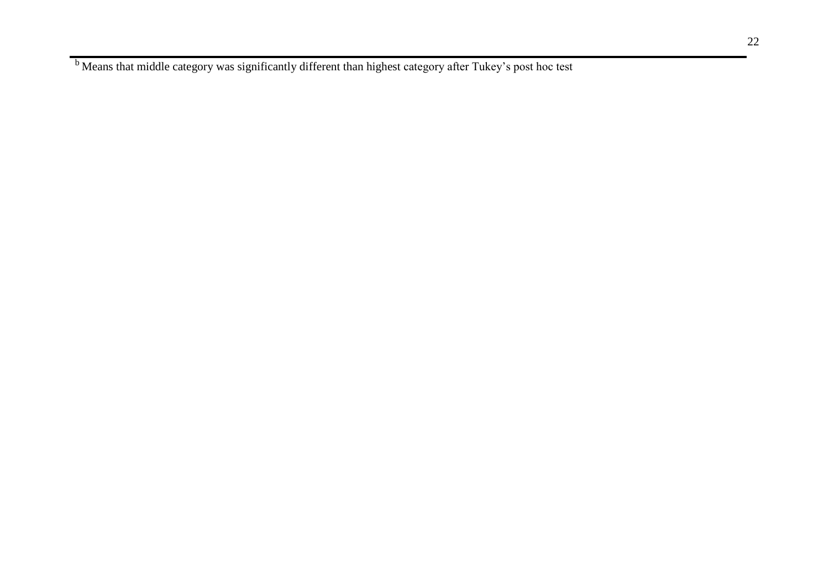<sup>b</sup> Means that middle category was significantly different than highest category after Tukey's post hoc test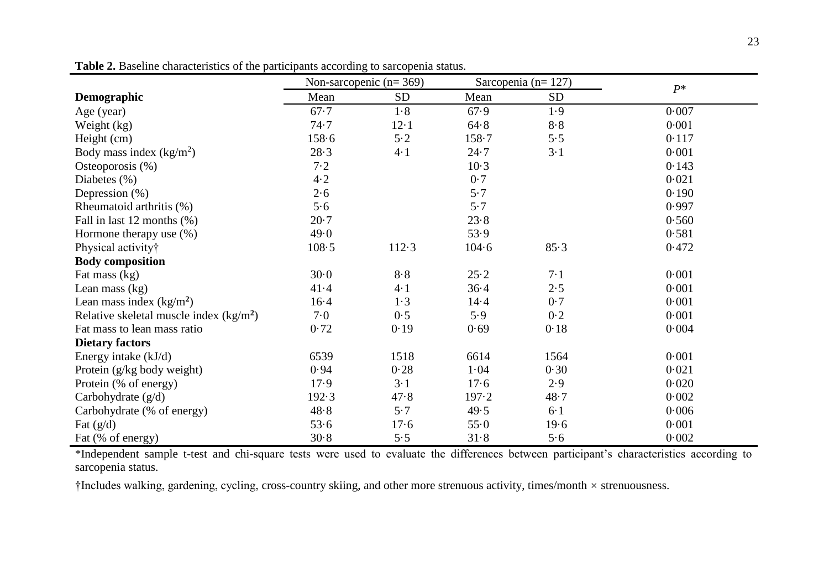|                                          |        | Non-sarcopenic $(n=369)$ |        | Sarcopenia ( $n=127$ ) | $P^*$ |
|------------------------------------------|--------|--------------------------|--------|------------------------|-------|
| Demographic                              | Mean   | <b>SD</b>                | Mean   | <b>SD</b>              |       |
| Age (year)                               | 67.7   | 1.8                      | 67.9   | 1.9                    | 0.007 |
| Weight (kg)                              | 74.7   | $12 - 1$                 | 64.8   | 8.8                    | 0.001 |
| Height (cm)                              | 158.6  | 5.2                      | 158.7  | 5.5                    | 0.117 |
| Body mass index $(kg/m2)$                | 28.3   | 4.1                      | 24.7   | $3-1$                  | 0.001 |
| Osteoporosis $(\%)$                      | 7.2    |                          | $10-3$ |                        | 0.143 |
| Diabetes $(\%)$                          | 4.2    |                          | 0.7    |                        | 0.021 |
| Depression (%)                           | 2.6    |                          | 5.7    |                        | 0.190 |
| Rheumatoid arthritis (%)                 | 5.6    |                          | 5.7    |                        | 0.997 |
| Fall in last 12 months (%)               | $20-7$ |                          | 23.8   |                        | 0.560 |
| Hormone therapy use $(\%)$               | 49.0   |                          | 53.9   |                        | 0.581 |
| Physical activity†                       | 108.5  | 112.3                    | 104.6  | 85.3                   | 0.472 |
| <b>Body composition</b>                  |        |                          |        |                        |       |
| Fat mass (kg)                            | 30.0   | $8.8\,$                  | 25.2   | 7.1                    | 0.001 |
| Lean mass $(kg)$                         | 41.4   | $4-1$                    | 36.4   | 2.5                    | 0.001 |
| Lean mass index $(kg/m2)$                | $16-4$ | $1-3$                    | 14.4   | 0.7                    | 0.001 |
| Relative skeletal muscle index $(kg/m2)$ | 7.0    | 0.5                      | 5.9    | 0.2                    | 0.001 |
| Fat mass to lean mass ratio              | 0.72   | 0.19                     | 0.69   | 0.18                   | 0.004 |
| <b>Dietary factors</b>                   |        |                          |        |                        |       |
| Energy intake (kJ/d)                     | 6539   | 1518                     | 6614   | 1564                   | 0.001 |
| Protein (g/kg body weight)               | 0.94   | 0.28                     | 1.04   | 0.30                   | 0.021 |
| Protein (% of energy)                    | 17.9   | $3-1$                    | 17.6   | 2.9                    | 0.020 |
| Carbohydrate $(g/d)$                     | 192.3  | 47.8                     | 197.2  | 48.7                   | 0.002 |
| Carbohydrate (% of energy)               | 48.8   | 5.7                      | 49.5   | $6-1$                  | 0.006 |
| Fat $(g/d)$                              | 53.6   | 17.6                     | 55.0   | 19.6                   | 0.001 |
| Fat (% of energy)                        | 30.8   | 5.5                      | 31.8   | 5.6                    | 0.002 |

**Table 2.** Baseline characteristics of the participants according to sarcopenia status.

\*Independent sample t-test and chi-square tests were used to evaluate the differences between participant's characteristics according to sarcopenia status.

†Includes walking, gardening, cycling, cross-country skiing, and other more strenuous activity, times/month × strenuousness.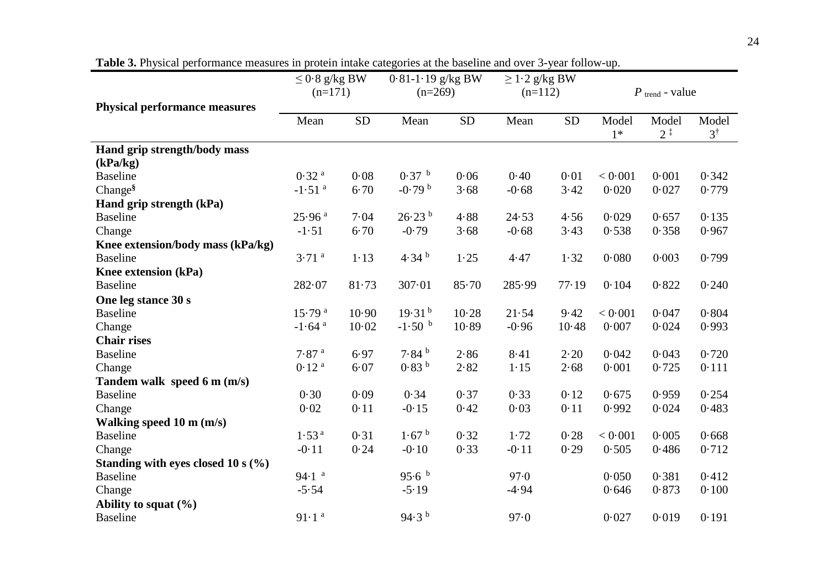|                                              | $\leq$ 0.8 g/kg BW   |           | $0.81 - 1.19$ g/kg BW |           | $\geq 1.2$ g/kg BW |           |         |                            |               |
|----------------------------------------------|----------------------|-----------|-----------------------|-----------|--------------------|-----------|---------|----------------------------|---------------|
|                                              | $(n=171)$            |           | $(n=269)$             |           | $(n=112)$          |           |         | $P_{\text{trend}}$ - value |               |
| <b>Physical performance measures</b>         |                      |           |                       |           |                    |           |         |                            |               |
|                                              | Mean                 | <b>SD</b> | Mean                  | <b>SD</b> | Mean               | <b>SD</b> | Model   | Model                      | Model         |
|                                              |                      |           |                       |           |                    |           | $1*$    | $2^{\ddagger}$             | $3^{\dagger}$ |
| Hand grip strength/body mass                 |                      |           |                       |           |                    |           |         |                            |               |
| (kPa/kg)                                     |                      |           |                       |           |                    |           |         |                            |               |
| <b>Baseline</b>                              | 0.32 <sup>a</sup>    | 0.08      | 0.37 <sup>b</sup>     | 0.06      | 0.40               | 0.01      | < 0.001 | 0.001                      | 0.342         |
| Change <sup>§</sup>                          | $-1.51$ <sup>a</sup> | 6.70      | $-0.79b$              | 3.68      | $-0.68$            | 3.42      | 0.020   | 0.027                      | 0.779         |
| Hand grip strength (kPa)                     |                      |           |                       |           |                    |           |         |                            |               |
| <b>Baseline</b>                              | 25.96 <sup>a</sup>   | 7.04      | $26.23^{b}$           | 4.88      | 24.53              | 4.56      | 0.029   | 0.657                      | 0.135         |
| Change                                       | $-1.51$              | 6.70      | $-0.79$               | 3.68      | $-0.68$            | 3.43      | 0.538   | 0.358                      | 0.967         |
| Knee extension/body mass (kPa/kg)            |                      |           |                       |           |                    |           |         |                            |               |
| <b>Baseline</b>                              | 3.71 <sup>a</sup>    | $1 - 13$  | 4.34 <sup>b</sup>     | 1.25      | 4.47               | 1.32      | 0.080   | 0.003                      | 0.799         |
| Knee extension (kPa)                         |                      |           |                       |           |                    |           |         |                            |               |
| <b>Baseline</b>                              | 282.07               | 81.73     | 307.01                | 85.70     | 285.99             | 77.19     | 0.104   | 0.822                      | 0.240         |
| One leg stance 30 s                          |                      |           |                       |           |                    |           |         |                            |               |
| <b>Baseline</b>                              | 15.79 <sup>a</sup>   | 10.90     | $19.31^{b}$           | 10.28     | 21.54              | 9.42      | < 0.001 | 0.047                      | 0.804         |
| Change                                       | $-1.64$ <sup>a</sup> | 10.02     | $-1.50b$              | 10.89     | $-0.96$            | 10.48     | 0.007   | 0.024                      | 0.993         |
| <b>Chair rises</b>                           |                      |           |                       |           |                    |           |         |                            |               |
| <b>Baseline</b>                              | 7.87 <sup>a</sup>    | 6.97      | 7.84 <sup>b</sup>     | 2.86      | 8.41               | 2.20      | 0.042   | 0.043                      | 0.720         |
| Change                                       | $0.12$ <sup>a</sup>  | 6.07      | 0.83 <sup>b</sup>     | 2.82      | $1 - 15$           | 2.68      | 0.001   | 0.725                      | 0.111         |
| Tandem walk speed 6 m (m/s)                  |                      |           |                       |           |                    |           |         |                            |               |
| <b>Baseline</b>                              | 0.30                 | 0.09      | 0.34                  | 0.37      | 0.33               | 0.12      | 0.675   | 0.959                      | 0.254         |
| Change                                       | 0.02                 | 0.11      | $-0.15$               | 0.42      | 0.03               | 0.11      | 0.992   | 0.024                      | 0.483         |
| Walking speed $10 \text{ m} \, \text{(m/s)}$ |                      |           |                       |           |                    |           |         |                            |               |
| <b>Baseline</b>                              | 1.53 <sup>a</sup>    | 0.31      | 1.67 <sup>b</sup>     | 0.32      | 1.72               | 0.28      | < 0.001 | 0.005                      | 0.668         |
| Change                                       | $-0.11$              | 0.24      | $-0.10$               | 0.33      | $-0.11$            | 0.29      | 0.505   | 0.486                      | 0.712         |
| Standing with eyes closed 10 s $(\%$         |                      |           |                       |           |                    |           |         |                            |               |
| <b>Baseline</b>                              | $94.1$ <sup>a</sup>  |           | 95.6 <sup>b</sup>     |           | 97.0               |           | 0.050   | 0.381                      | 0.412         |
| Change                                       | $-5.54$              |           | $-5.19$               |           | $-4.94$            |           | 0.646   | 0.873                      | 0.100         |
| Ability to squat $(\% )$                     |                      |           |                       |           |                    |           |         |                            |               |
| <b>Baseline</b>                              | $91 \cdot 1^{a}$     |           | $94.3^{b}$            |           | 97.0               |           | 0.027   | 0.019                      | 0.191         |

**Table 3.** Physical performance measures in protein intake categories at the baseline and over 3-year follow-up.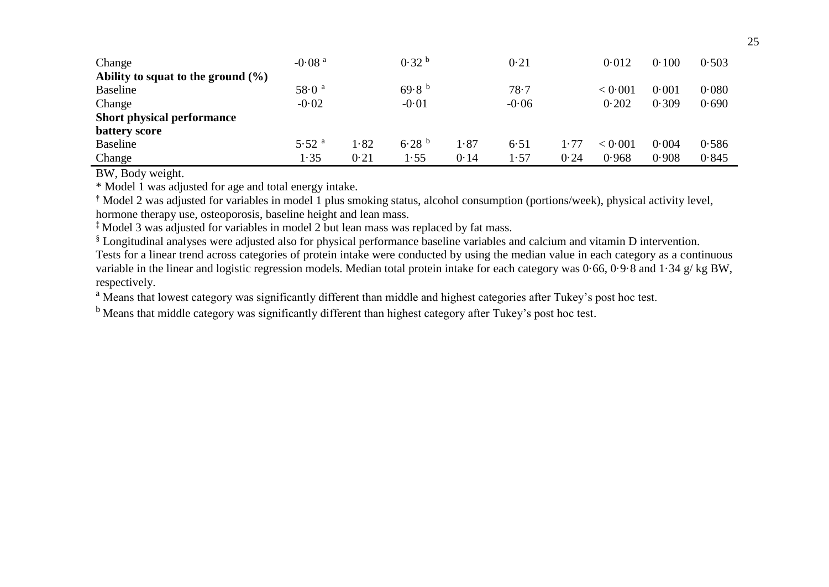| Change                                 | $-0.08$ <sup>a</sup> |      | 0.32 <sup>b</sup> |      | 0.21    |      | 0.012   | 0.100 | 0.503 |
|----------------------------------------|----------------------|------|-------------------|------|---------|------|---------|-------|-------|
| Ability to squat to the ground $(\% )$ |                      |      |                   |      |         |      |         |       |       |
| <b>Baseline</b>                        | 58.0a                |      | 69.8 <sup>b</sup> |      | 78.7    |      | < 0.001 | 0.001 | 0.080 |
| Change                                 | $-0.02$              |      | $-0.01$           |      | $-0.06$ |      | 0.202   | 0.309 | 0.690 |
| <b>Short physical performance</b>      |                      |      |                   |      |         |      |         |       |       |
| battery score                          |                      |      |                   |      |         |      |         |       |       |
| <b>Baseline</b>                        | $5.52$ <sup>a</sup>  | 1.82 | 6.28 <sup>b</sup> | 1.87 | 6.51    | 1.77 | < 0.001 | 0.004 | 0.586 |
| Change                                 | 1.35                 | 0.21 | 1.55              | 0.14 | 1.57    | 0.24 | 0.968   | 0.908 | 0.845 |

BW, Body weight.

\* Model 1 was adjusted for age and total energy intake.

**†** Model 2 was adjusted for variables in model 1 plus smoking status, alcohol consumption (portions/week), physical activity level, hormone therapy use, osteoporosis, baseline height and lean mass.

‡ Model 3 was adjusted for variables in model 2 but lean mass was replaced by fat mass.

§ Longitudinal analyses were adjusted also for physical performance baseline variables and calcium and vitamin D intervention. Tests for a linear trend across categories of protein intake were conducted by using the median value in each category as a continuous variable in the linear and logistic regression models. Median total protein intake for each category was 0·66, 0·9·8 and 1·34 g/ kg BW, respectively.

<sup>a</sup> Means that lowest category was significantly different than middle and highest categories after Tukey's post hoc test.

<sup>b</sup> Means that middle category was significantly different than highest category after Tukey's post hoc test.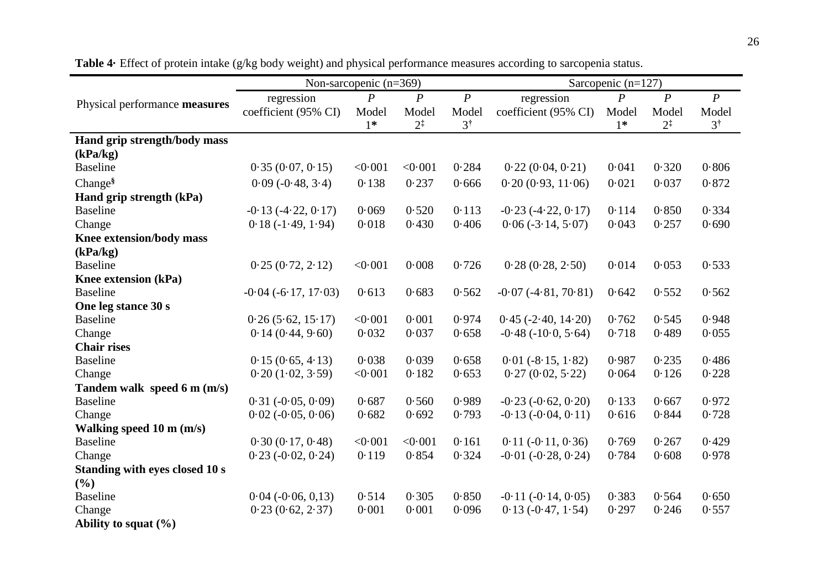|                                            |                               | Non-sarcopenic $(n=369)$ |                  |                  |                              | Sarcopenic $(n=127)$ |                  |                  |  |  |
|--------------------------------------------|-------------------------------|--------------------------|------------------|------------------|------------------------------|----------------------|------------------|------------------|--|--|
|                                            | regression                    | $\boldsymbol{P}$         | $\boldsymbol{P}$ | $\boldsymbol{P}$ | regression                   | $\boldsymbol{P}$     | $\boldsymbol{P}$ | $\boldsymbol{P}$ |  |  |
| Physical performance measures              | coefficient (95% CI)          | Model                    | Model            | Model            | coefficient (95% CI)         | Model                | Model            | Model            |  |  |
|                                            |                               | $1*$                     | $2^{\ddagger}$   | $3^{\dagger}$    |                              | $1*$                 | $2^{\ddagger}$   | $3^{\dagger}$    |  |  |
| Hand grip strength/body mass               |                               |                          |                  |                  |                              |                      |                  |                  |  |  |
| (kPa/kg)                                   |                               |                          |                  |                  |                              |                      |                  |                  |  |  |
| <b>Baseline</b>                            | 0.35(0.07, 0.15)              | < 0.001                  | < 0.001          | 0.284            | 0.22(0.04, 0.21)             | 0.041                | 0.320            | 0.806            |  |  |
| Change <sup>§</sup>                        | $0.09(-0.48, 3.4)$            | 0.138                    | 0.237            | 0.666            | 0.20(0.93, 11.06)            | 0.021                | 0.037            | 0.872            |  |  |
| Hand grip strength (kPa)                   |                               |                          |                  |                  |                              |                      |                  |                  |  |  |
| <b>Baseline</b>                            | $-0.13(-4.22, 0.17)$          | 0.069                    | 0.520            | 0.113            | $-0.23$ $(-4.22, 0.17)$      | 0.114                | 0.850            | 0.334            |  |  |
| Change                                     | $0.18(-1.49, 1.94)$           | 0.018                    | 0.430            | 0.406            | $0.06(-3.14, 5.07)$          | 0.043                | 0.257            | 0.690            |  |  |
| Knee extension/body mass                   |                               |                          |                  |                  |                              |                      |                  |                  |  |  |
| (kPa/kg)                                   |                               |                          |                  |                  |                              |                      |                  |                  |  |  |
| <b>Baseline</b>                            | 0.25(0.72, 2.12)              | < 0.001                  | 0.008            | 0.726            | 0.28(0.28, 2.50)             | 0.014                | 0.053            | 0.533            |  |  |
| Knee extension (kPa)                       |                               |                          |                  |                  |                              |                      |                  |                  |  |  |
| <b>Baseline</b>                            | $-0.04$ ( $-6.17$ , $17.03$ ) | 0.613                    | 0.683            | 0.562            | $-0.07$ $(-4.81, 70.81)$     | 0.642                | 0.552            | 0.562            |  |  |
| One leg stance 30 s                        |                               |                          |                  |                  |                              |                      |                  |                  |  |  |
| <b>Baseline</b>                            | 0.26(5.62, 15.17)             | < 0.001                  | 0.001            | 0.974            | $0.45$ ( $-2.40$ , $14.20$ ) | 0.762                | 0.545            | 0.948            |  |  |
| Change                                     | 0.14(0.44, 9.60)              | 0.032                    | 0.037            | 0.658            | $-0.48(-10.0, 5.64)$         | 0.718                | 0.489            | 0.055            |  |  |
| <b>Chair rises</b>                         |                               |                          |                  |                  |                              |                      |                  |                  |  |  |
| <b>Baseline</b>                            | 0.15(0.65, 4.13)              | 0.038                    | 0.039            | 0.658            | $0.01 (-8.15, 1.82)$         | 0.987                | 0.235            | 0.486            |  |  |
| Change                                     | 0.20(1.02, 3.59)              | < 0.001                  | 0.182            | 0.653            | 0.27(0.02, 5.22)             | 0.064                | 0.126            | 0.228            |  |  |
| Tandem walk speed 6 m (m/s)                |                               |                          |                  |                  |                              |                      |                  |                  |  |  |
| <b>Baseline</b>                            | $0.31 (-0.05, 0.09)$          | 0.687                    | 0.560            | 0.989            | $-0.23$ $(-0.62, 0.20)$      | 0.133                | 0.667            | 0.972            |  |  |
| Change                                     | $0.02$ ( $-0.05, 0.06$ )      | 0.682                    | 0.692            | 0.793            | $-0.13(-0.04, 0.11)$         | 0.616                | 0.844            | 0.728            |  |  |
| Walking speed $10 \text{ m} \text{ (m/s)}$ |                               |                          |                  |                  |                              |                      |                  |                  |  |  |
| <b>Baseline</b>                            | 0.30(0.17, 0.48)              | < 0.001                  | < 0.001          | 0.161            | $0.11(-0.11, 0.36)$          | 0.769                | 0.267            | 0.429            |  |  |
| Change                                     | $0.23$ ( $-0.02$ , $0.24$ )   | 0.119                    | 0.854            | 0.324            | $-0.01$ $(-0.28, 0.24)$      | 0.784                | 0.608            | 0.978            |  |  |
| Standing with eyes closed 10 s             |                               |                          |                  |                  |                              |                      |                  |                  |  |  |
| (%)                                        |                               |                          |                  |                  |                              |                      |                  |                  |  |  |
| <b>Baseline</b>                            | $0.04$ ( $-0.06$ , 0,13)      | 0.514                    | 0.305            | 0.850            | $-0.11(-0.14, 0.05)$         | 0.383                | 0.564            | 0.650            |  |  |
| Change                                     | 0.23(0.62, 2.37)              | 0.001                    | 0.001            | 0.096            | $0.13(-0.47, 1.54)$          | 0.297                | 0.246            | 0.557            |  |  |
| Ability to squat $(\% )$                   |                               |                          |                  |                  |                              |                      |                  |                  |  |  |

**Table 4·** Effect of protein intake (g/kg body weight) and physical performance measures according to sarcopenia status.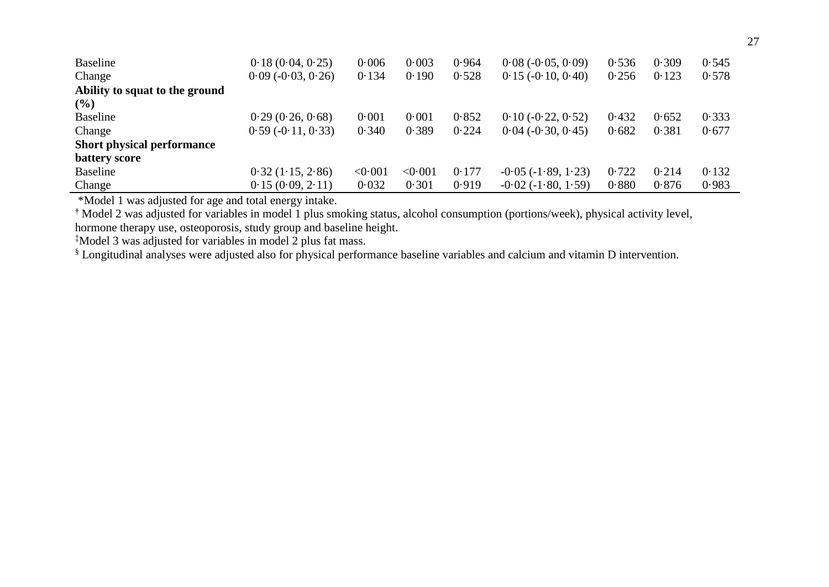| Baseline                          | 0.18(0.04, 0.25)    | 0.006   | 0.003   | 0.964 | $0.08(-0.05, 0.09)$          | 0.536 | 0.309 | 0.545 |
|-----------------------------------|---------------------|---------|---------|-------|------------------------------|-------|-------|-------|
| Change                            | $0.09(-0.03, 0.26)$ | 0.134   | 0.190   | 0.528 | $0.15(-0.10, 0.40)$          | 0.256 | 0.123 | 0.578 |
| Ability to squat to the ground    |                     |         |         |       |                              |       |       |       |
| $($ %)                            |                     |         |         |       |                              |       |       |       |
| Baseline                          | 0.29(0.26, 0.68)    | 0.001   | 0.001   | 0.852 | $0.10(-0.22, 0.52)$          | 0.432 | 0.652 | 0.333 |
| Change                            | $0.59(-0.11, 0.33)$ | 0.340   | 0.389   | 0.224 | $0.04(-0.30, 0.45)$          | 0.682 | 0.381 | 0.677 |
| <b>Short physical performance</b> |                     |         |         |       |                              |       |       |       |
| battery score                     |                     |         |         |       |                              |       |       |       |
| Baseline                          | 0.32(1.15, 2.86)    | < 0.001 | < 0.001 | 0.177 | $-0.05$ ( $-1.89$ , $1.23$ ) | 0.722 | 0.214 | 0.132 |
| Change                            | 0.15(0.09, 2.11)    | 0.032   | 0.301   | 0.919 | $-0.02$ ( $-1.80$ , $1.59$ ) | 0.880 | 0.876 | 0.983 |

\*Model 1 was adjusted for age and total energy intake.

**†** Model 2 was adjusted for variables in model 1 plus smoking status, alcohol consumption (portions/week), physical activity level, hormone therapy use, osteoporosis, study group and baseline height.

‡Model 3 was adjusted for variables in model 2 plus fat mass.

§ Longitudinal analyses were adjusted also for physical performance baseline variables and calcium and vitamin D intervention.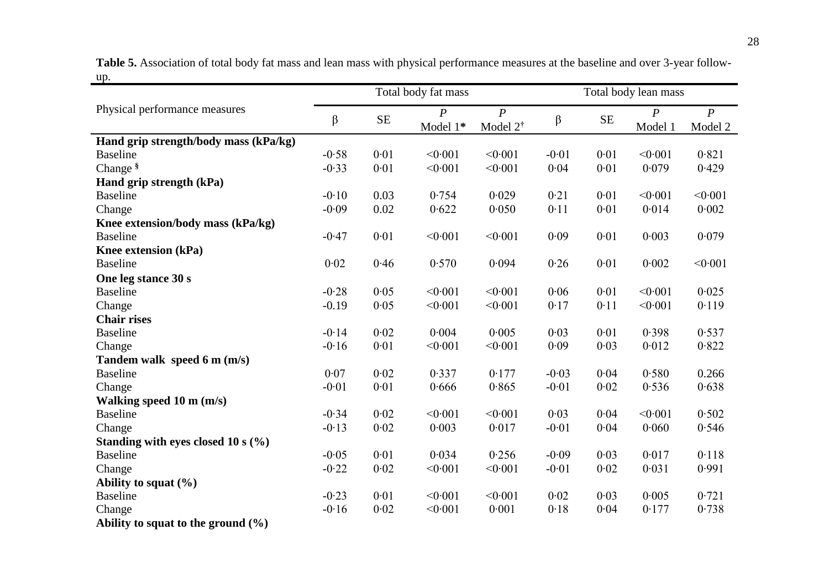|                                        |         |           | Total body fat mass          | Total body lean mass                     |         |           |                             |                             |
|----------------------------------------|---------|-----------|------------------------------|------------------------------------------|---------|-----------|-----------------------------|-----------------------------|
| Physical performance measures          | $\beta$ | <b>SE</b> | $\boldsymbol{P}$<br>Model 1* | $\boldsymbol{P}$<br>Model 2 <sup>†</sup> | β       | <b>SE</b> | $\boldsymbol{P}$<br>Model 1 | $\boldsymbol{P}$<br>Model 2 |
| Hand grip strength/body mass (kPa/kg)  |         |           |                              |                                          |         |           |                             |                             |
| <b>Baseline</b>                        | $-0.58$ | 0.01      | < 0.001                      | < 0.001                                  | $-0.01$ | 0.01      | < 0.001                     | 0.821                       |
| Change <sup>§</sup>                    | $-0.33$ | 0.01      | < 0.001                      | < 0.001                                  | 0.04    | 0.01      | 0.079                       | 0.429                       |
| Hand grip strength (kPa)               |         |           |                              |                                          |         |           |                             |                             |
| <b>Baseline</b>                        | $-0.10$ | 0.03      | 0.754                        | 0.029                                    | 0.21    | 0.01      | < 0.001                     | < 0.001                     |
| Change                                 | $-0.09$ | 0.02      | 0.622                        | 0.050                                    | 0.11    | 0.01      | 0.014                       | 0.002                       |
| Knee extension/body mass (kPa/kg)      |         |           |                              |                                          |         |           |                             |                             |
| <b>Baseline</b>                        | $-0.47$ | 0.01      | < 0.001                      | < 0.001                                  | 0.09    | 0.01      | 0.003                       | 0.079                       |
| Knee extension (kPa)                   |         |           |                              |                                          |         |           |                             |                             |
| <b>Baseline</b>                        | 0.02    | 0.46      | 0.570                        | 0.094                                    | 0.26    | 0.01      | 0.002                       | < 0.001                     |
| One leg stance 30 s                    |         |           |                              |                                          |         |           |                             |                             |
| <b>Baseline</b>                        | $-0.28$ | 0.05      | < 0.001                      | < 0.001                                  | 0.06    | 0.01      | < 0.001                     | 0.025                       |
| Change                                 | $-0.19$ | 0.05      | < 0.001                      | < 0.001                                  | 0.17    | 0.11      | < 0.001                     | 0.119                       |
| <b>Chair rises</b>                     |         |           |                              |                                          |         |           |                             |                             |
| <b>Baseline</b>                        | $-0.14$ | 0.02      | 0.004                        | 0.005                                    | 0.03    | 0.01      | 0.398                       | 0.537                       |
| Change                                 | $-0.16$ | 0.01      | < 0.001                      | < 0.001                                  | 0.09    | 0.03      | 0.012                       | 0.822                       |
| Tandem walk speed 6 m (m/s)            |         |           |                              |                                          |         |           |                             |                             |
| <b>Baseline</b>                        | 0.07    | 0.02      | 0.337                        | 0.177                                    | $-0.03$ | 0.04      | 0.580                       | 0.266                       |
| Change                                 | $-0.01$ | 0.01      | 0.666                        | 0.865                                    | $-0.01$ | 0.02      | 0.536                       | 0.638                       |
| Walking speed 10 m (m/s)               |         |           |                              |                                          |         |           |                             |                             |
| <b>Baseline</b>                        | $-0.34$ | 0.02      | < 0.001                      | < 0.001                                  | 0.03    | 0.04      | < 0.001                     | 0.502                       |
| Change                                 | $-0.13$ | 0.02      | 0.003                        | 0.017                                    | $-0.01$ | 0.04      | 0.060                       | 0.546                       |
| Standing with eyes closed 10 s $(\%$ ) |         |           |                              |                                          |         |           |                             |                             |
| <b>Baseline</b>                        | $-0.05$ | 0.01      | 0.034                        | 0.256                                    | $-0.09$ | 0.03      | 0.017                       | 0.118                       |
| Change                                 | $-0.22$ | 0.02      | < 0.001                      | < 0.001                                  | $-0.01$ | 0.02      | 0.031                       | 0.991                       |
| Ability to squat $(\% )$               |         |           |                              |                                          |         |           |                             |                             |
| <b>Baseline</b>                        | $-0.23$ | 0.01      | < 0.001                      | < 0.001                                  | 0.02    | 0.03      | 0.005                       | 0.721                       |
| Change                                 | $-0.16$ | 0.02      | < 0.001                      | 0.001                                    | 0.18    | 0.04      | 0.177                       | 0.738                       |
| Ability to squat to the ground $(\% )$ |         |           |                              |                                          |         |           |                             |                             |

**Table 5.** Association of total body fat mass and lean mass with physical performance measures at the baseline and over 3-year followup.